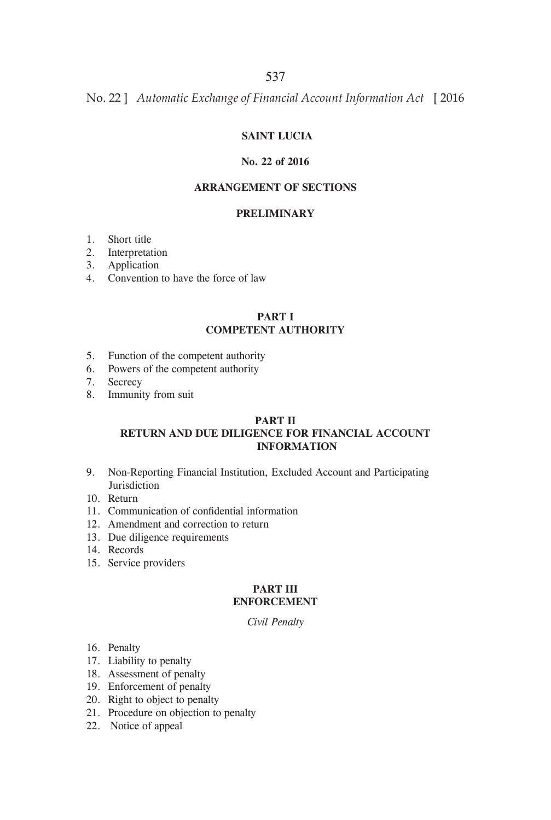537

No. 22 ] *Automatic Exchange of Financial Account Information Act* [ 2016

## **SAINT LUCIA**

#### **No. 22 of 2016**

## **ARRANGEMENT OF SECTIONS**

#### **PRELIMINARY**

- 1. Short title
- 2. Interpretation
- 3. Application
- 4. Convention to have the force of law

#### **PART I COMPETENT AUTHORITY**

- 5. Function of the competent authority
- 6. Powers of the competent authority
- 7. Secrecy
- 8. Immunity from suit

# **PART II**

## **RETURN AND DUE DILIGENCE FOR FINANCIAL ACCOUNT INFORMATION**

- 9. Non-Reporting Financial Institution, Excluded Account and Participating **Jurisdiction**
- 10. Return
- 11. Communication of confidential information
- 12. Amendment and correction to return
- 13. Due diligence requirements
- 14. Records
- 15. Service providers

#### **PART III ENFORCEMENT**

*Civil Penalty*

- 16. Penalty
- 17. Liability to penalty
- 18. Assessment of penalty
- 19. Enforcement of penalty
- 20. Right to object to penalty
- 21. Procedure on objection to penalty
- 22. Notice of appeal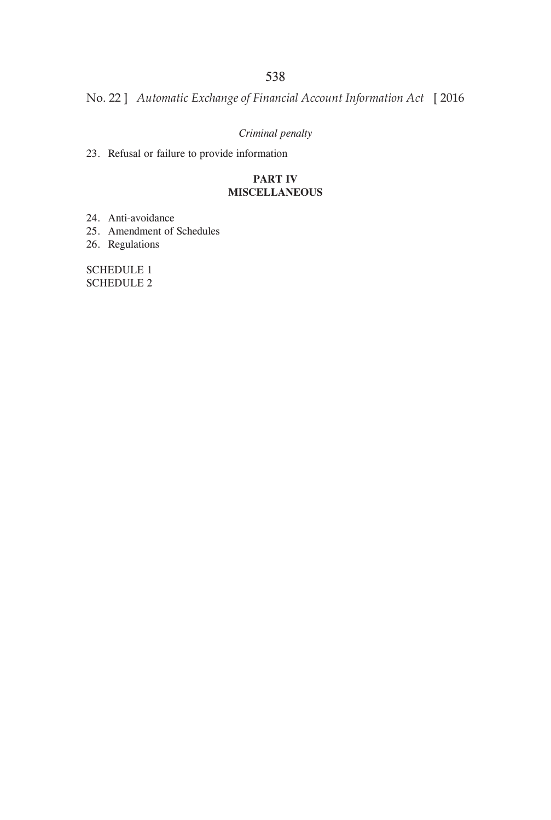538

No. 22 ] *Automatic Exchange of Financial Account Information Act* [ 2016

## *Criminal penalty*

23. Refusal or failure to provide information

#### **PART IV MISCELLANEOUS**

- 24. Anti-avoidance
- 25. Amendment of Schedules

26. Regulations

SCHEDULE 1 SCHEDULE 2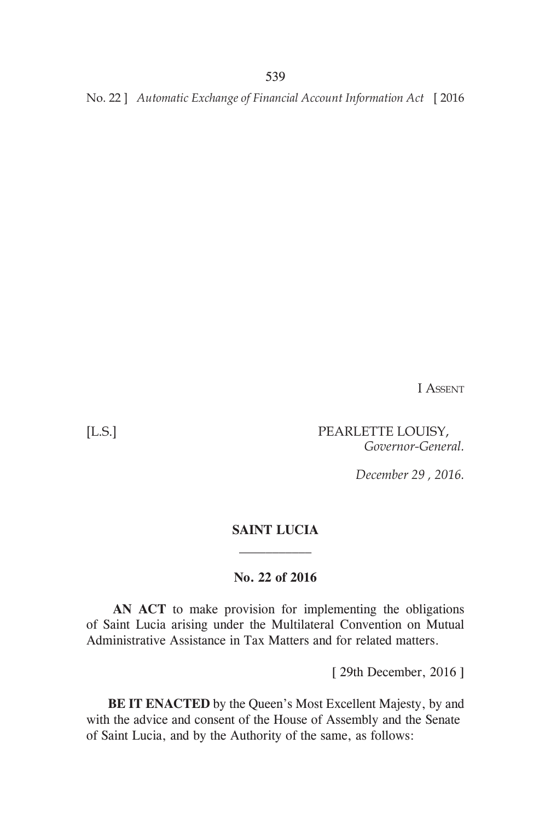I Assent

[L.S.] PEARLETTE LOUISY, *Governor-General.*

*December 29 , 2016.*

## **SAINT LUCIA**

# **No. 22 of 2016**

 **AN ACT** to make provision for implementing the obligations of Saint Lucia arising under the Multilateral Convention on Mutual Administrative Assistance in Tax Matters and for related matters.

[ 29th December, 2016 ]

**BE IT ENACTED** by the Queen's Most Excellent Majesty, by and with the advice and consent of the House of Assembly and the Senate of Saint Lucia, and by the Authority of the same, as follows: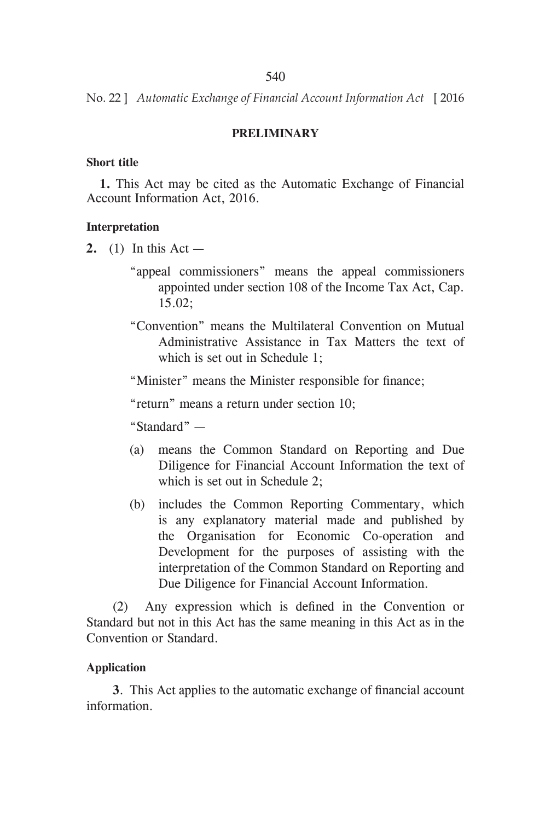## **PRELIMINARY**

## **Short title**

**1.** This Act may be cited as the Automatic Exchange of Financial Account Information Act, 2016.

## **Interpretation**

- **2.** (1) In this Act
	- "appeal commissioners" means the appeal commissioners appointed under section 108 of the Income Tax Act, Cap. 15.02;
	- "Convention" means the Multilateral Convention on Mutual Administrative Assistance in Tax Matters the text of which is set out in Schedule 1;
	- "Minister" means the Minister responsible for finance;

"return" means a return under section 10;

"Standard" —

- (a) means the Common Standard on Reporting and Due Diligence for Financial Account Information the text of which is set out in Schedule 2;
- (b) includes the Common Reporting Commentary, which is any explanatory material made and published by the Organisation for Economic Co-operation and Development for the purposes of assisting with the interpretation of the Common Standard on Reporting and Due Diligence for Financial Account Information.

 (2) Any expression which is defined in the Convention or Standard but not in this Act has the same meaning in this Act as in the Convention or Standard.

## **Application**

**3**. This Act applies to the automatic exchange of financial account information.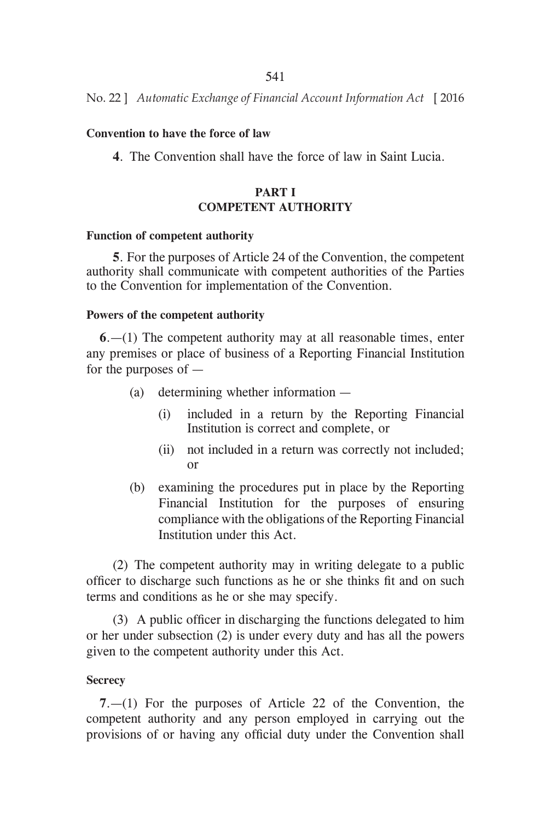## **Convention to have the force of law**

 **4**. The Convention shall have the force of law in Saint Lucia.

## **PART I COMPETENT AUTHORITY**

## **Function of competent authority**

 **5**. For the purposes of Article 24 of the Convention, the competent authority shall communicate with competent authorities of the Parties to the Convention for implementation of the Convention.

#### **Powers of the competent authority**

**6**.—(1) The competent authority may at all reasonable times, enter any premises or place of business of a Reporting Financial Institution for the purposes of —

- (a) determining whether information
	- (i) included in a return by the Reporting Financial Institution is correct and complete, or
	- (ii) not included in a return was correctly not included; or
- (b) examining the procedures put in place by the Reporting Financial Institution for the purposes of ensuring compliance with the obligations of the Reporting Financial Institution under this Act.

 (2) The competent authority may in writing delegate to a public officer to discharge such functions as he or she thinks fit and on such terms and conditions as he or she may specify.

 (3) A public officer in discharging the functions delegated to him or her under subsection (2) is under every duty and has all the powers given to the competent authority under this Act.

#### **Secrecy**

**7**.—(1) For the purposes of Article 22 of the Convention, the competent authority and any person employed in carrying out the provisions of or having any official duty under the Convention shall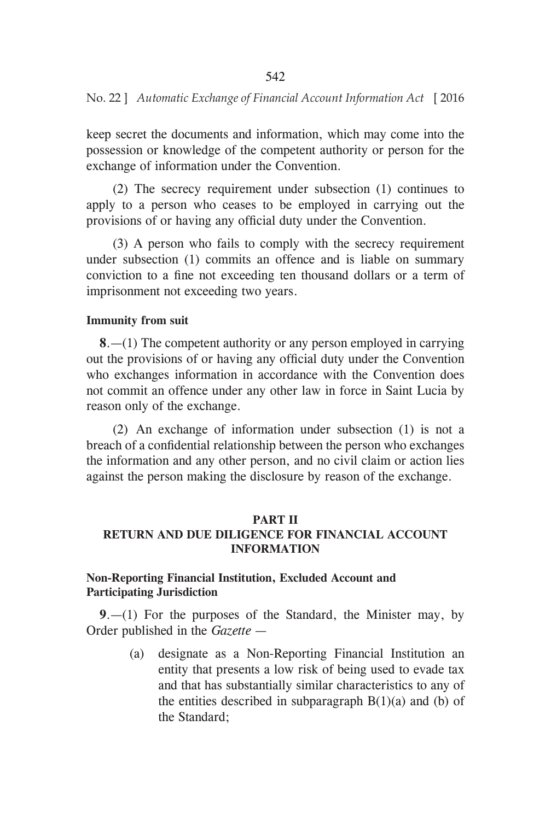keep secret the documents and information, which may come into the possession or knowledge of the competent authority or person for the exchange of information under the Convention.

 (2) The secrecy requirement under subsection (1) continues to apply to a person who ceases to be employed in carrying out the provisions of or having any official duty under the Convention.

 (3) A person who fails to comply with the secrecy requirement under subsection (1) commits an offence and is liable on summary conviction to a fine not exceeding ten thousand dollars or a term of imprisonment not exceeding two years.

#### **Immunity from suit**

**8**.—(1) The competent authority or any person employed in carrying out the provisions of or having any official duty under the Convention who exchanges information in accordance with the Convention does not commit an offence under any other law in force in Saint Lucia by reason only of the exchange.

 (2) An exchange of information under subsection (1) is not a breach of a confidential relationship between the person who exchanges the information and any other person, and no civil claim or action lies against the person making the disclosure by reason of the exchange.

## **PART II**

## **RETURN AND DUE DILIGENCE FOR FINANCIAL ACCOUNT INFORMATION**

## **Non-Reporting Financial Institution, Excluded Account and Participating Jurisdiction**

**9**.—(1) For the purposes of the Standard, the Minister may, by Order published in the *Gazette* —

> (a) designate as a Non-Reporting Financial Institution an entity that presents a low risk of being used to evade tax and that has substantially similar characteristics to any of the entities described in subparagraph  $B(1)(a)$  and (b) of the Standard;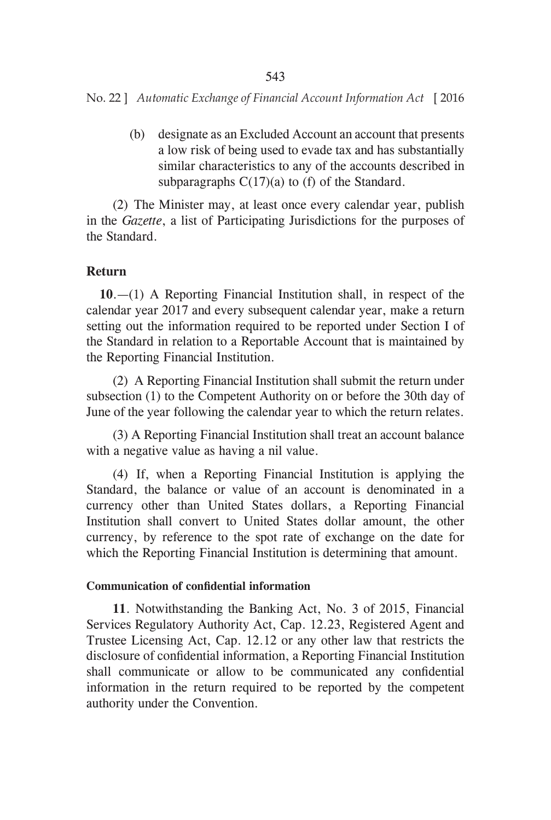(b) designate as an Excluded Account an account that presents a low risk of being used to evade tax and has substantially similar characteristics to any of the accounts described in subparagraphs  $C(17)(a)$  to (f) of the Standard.

 (2) The Minister may, at least once every calendar year, publish in the *Gazette*, a list of Participating Jurisdictions for the purposes of the Standard.

## **Return**

**10**.—(1) A Reporting Financial Institution shall, in respect of the calendar year 2017 and every subsequent calendar year, make a return setting out the information required to be reported under Section I of the Standard in relation to a Reportable Account that is maintained by the Reporting Financial Institution.

 (2) A Reporting Financial Institution shall submit the return under subsection (1) to the Competent Authority on or before the 30th day of June of the year following the calendar year to which the return relates.

 (3) A Reporting Financial Institution shall treat an account balance with a negative value as having a nil value.

 (4) If, when a Reporting Financial Institution is applying the Standard, the balance or value of an account is denominated in a currency other than United States dollars, a Reporting Financial Institution shall convert to United States dollar amount, the other currency, by reference to the spot rate of exchange on the date for which the Reporting Financial Institution is determining that amount.

## **Communication of confidential information**

 **11**. Notwithstanding the Banking Act, No. 3 of 2015, Financial Services Regulatory Authority Act, Cap. 12.23, Registered Agent and Trustee Licensing Act, Cap. 12.12 or any other law that restricts the disclosure of confidential information, a Reporting Financial Institution shall communicate or allow to be communicated any confidential information in the return required to be reported by the competent authority under the Convention.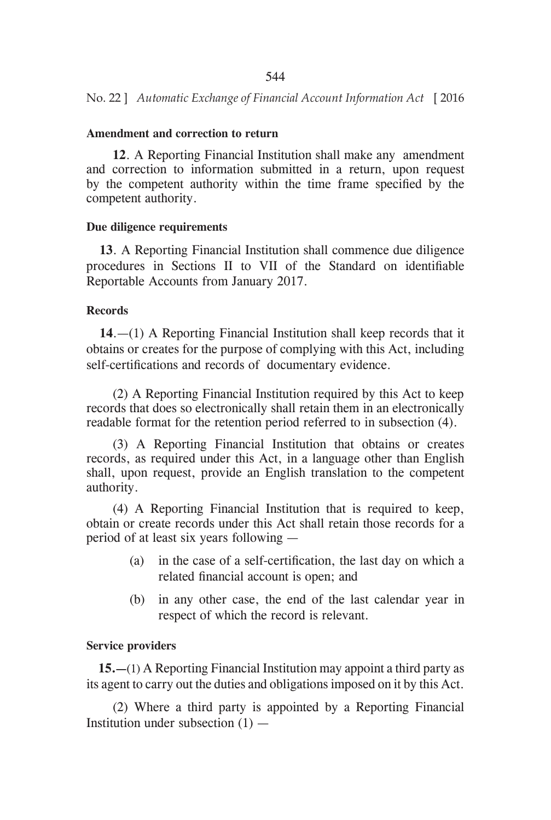## **Amendment and correction to return**

 **12**. A Reporting Financial Institution shall make any amendment and correction to information submitted in a return, upon request by the competent authority within the time frame specified by the competent authority.

## **Due diligence requirements**

**13**. A Reporting Financial Institution shall commence due diligence procedures in Sections II to VII of the Standard on identifiable Reportable Accounts from January 2017.

## **Records**

**14**.—(1) A Reporting Financial Institution shall keep records that it obtains or creates for the purpose of complying with this Act, including self-certifications and records of documentary evidence.

 (2) A Reporting Financial Institution required by this Act to keep records that does so electronically shall retain them in an electronically readable format for the retention period referred to in subsection (4).

 (3) A Reporting Financial Institution that obtains or creates records, as required under this Act, in a language other than English shall, upon request, provide an English translation to the competent authority.

 (4) A Reporting Financial Institution that is required to keep, obtain or create records under this Act shall retain those records for a period of at least six years following —

- (a) in the case of a self-certification, the last day on which a related financial account is open; and
- (b) in any other case, the end of the last calendar year in respect of which the record is relevant.

## **Service providers**

**15.—**(1) A Reporting Financial Institution may appoint a third party as its agent to carry out the duties and obligations imposed on it by this Act.

 (2) Where a third party is appointed by a Reporting Financial Institution under subsection  $(1)$  —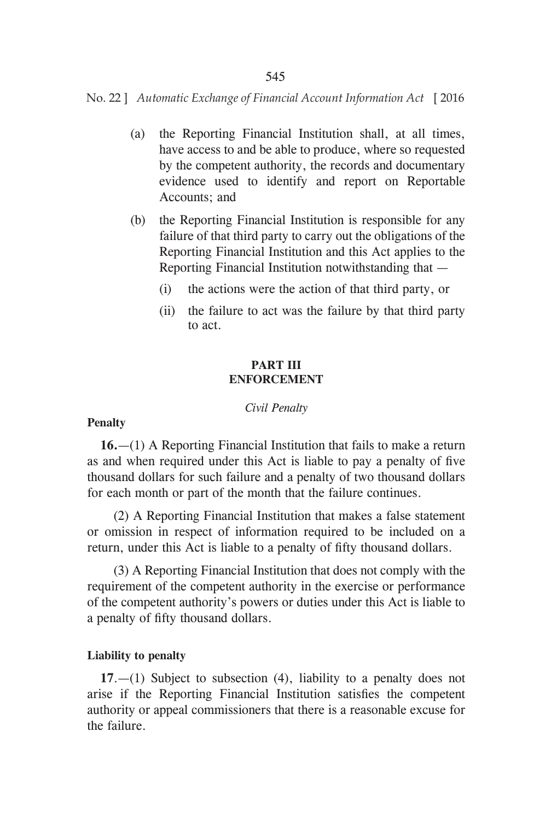- (a) the Reporting Financial Institution shall, at all times, have access to and be able to produce, where so requested by the competent authority, the records and documentary evidence used to identify and report on Reportable Accounts; and
- (b) the Reporting Financial Institution is responsible for any failure of that third party to carry out the obligations of the Reporting Financial Institution and this Act applies to the Reporting Financial Institution notwithstanding that —
	- (i) the actions were the action of that third party, or
	- (ii) the failure to act was the failure by that third party to act.

## **PART III ENFORCEMENT**

*Civil Penalty*

## **Penalty**

**16.**—(1) A Reporting Financial Institution that fails to make a return as and when required under this Act is liable to pay a penalty of five thousand dollars for such failure and a penalty of two thousand dollars for each month or part of the month that the failure continues.

 (2) A Reporting Financial Institution that makes a false statement or omission in respect of information required to be included on a return, under this Act is liable to a penalty of fifty thousand dollars.

 (3) A Reporting Financial Institution that does not comply with the requirement of the competent authority in the exercise or performance of the competent authority's powers or duties under this Act is liable to a penalty of fifty thousand dollars.

## **Liability to penalty**

**17**.—(1) Subject to subsection (4), liability to a penalty does not arise if the Reporting Financial Institution satisfies the competent authority or appeal commissioners that there is a reasonable excuse for the failure.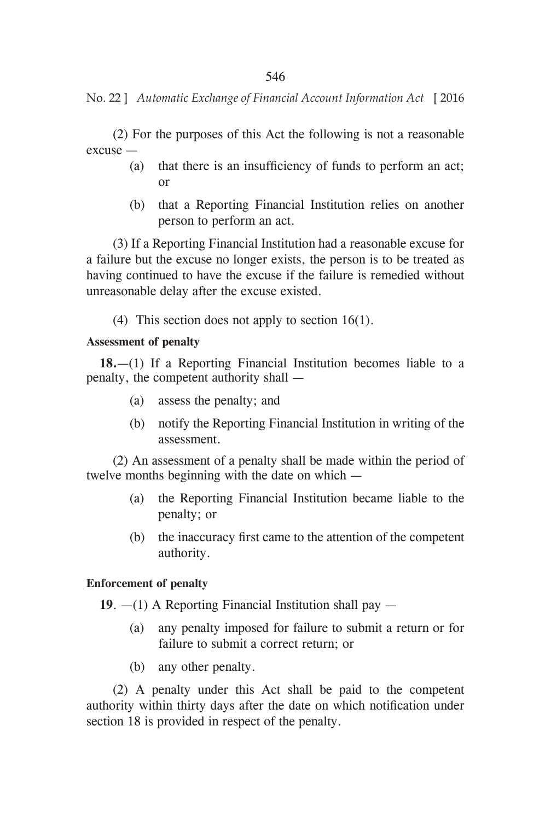(2) For the purposes of this Act the following is not a reasonable excuse —

- (a) that there is an insufficiency of funds to perform an act; or
- (b) that a Reporting Financial Institution relies on another person to perform an act.

 (3) If a Reporting Financial Institution had a reasonable excuse for a failure but the excuse no longer exists, the person is to be treated as having continued to have the excuse if the failure is remedied without unreasonable delay after the excuse existed.

(4) This section does not apply to section 16(1).

## **Assessment of penalty**

**18.**—(1) If a Reporting Financial Institution becomes liable to a penalty, the competent authority shall —

- (a) assess the penalty; and
- (b) notify the Reporting Financial Institution in writing of the assessment.

 (2) An assessment of a penalty shall be made within the period of twelve months beginning with the date on which —

- (a) the Reporting Financial Institution became liable to the penalty; or
- (b) the inaccuracy first came to the attention of the competent authority.

## **Enforcement of penalty**

**19**. —(1) A Reporting Financial Institution shall pay —

- (a) any penalty imposed for failure to submit a return or for failure to submit a correct return; or
- (b) any other penalty.

 (2) A penalty under this Act shall be paid to the competent authority within thirty days after the date on which notification under section 18 is provided in respect of the penalty.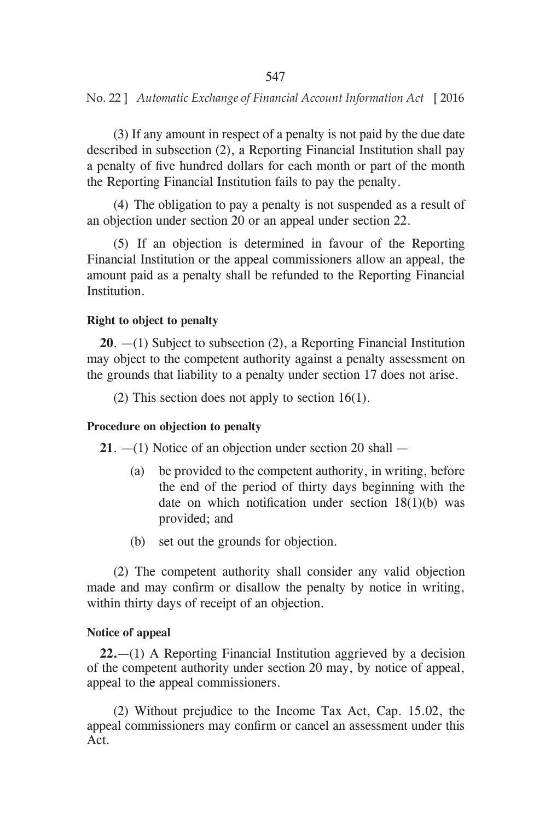(3) If any amount in respect of a penalty is not paid by the due date described in subsection (2), a Reporting Financial Institution shall pay a penalty of five hundred dollars for each month or part of the month the Reporting Financial Institution fails to pay the penalty.

 (4) The obligation to pay a penalty is not suspended as a result of an objection under section 20 or an appeal under section 22.

 (5) If an objection is determined in favour of the Reporting Financial Institution or the appeal commissioners allow an appeal, the amount paid as a penalty shall be refunded to the Reporting Financial Institution.

## **Right to object to penalty**

**20**. —(1) Subject to subsection (2), a Reporting Financial Institution may object to the competent authority against a penalty assessment on the grounds that liability to a penalty under section 17 does not arise.

(2) This section does not apply to section 16(1).

## **Procedure on objection to penalty**

**21**. —(1) Notice of an objection under section 20 shall —

- (a) be provided to the competent authority, in writing, before the end of the period of thirty days beginning with the date on which notification under section  $18(1)(b)$  was provided; and
- (b) set out the grounds for objection.

 (2) The competent authority shall consider any valid objection made and may confirm or disallow the penalty by notice in writing, within thirty days of receipt of an objection.

## **Notice of appeal**

**22.**—(1) A Reporting Financial Institution aggrieved by a decision of the competent authority under section 20 may, by notice of appeal, appeal to the appeal commissioners.

 (2) Without prejudice to the Income Tax Act, Cap. 15.02, the appeal commissioners may confirm or cancel an assessment under this Act.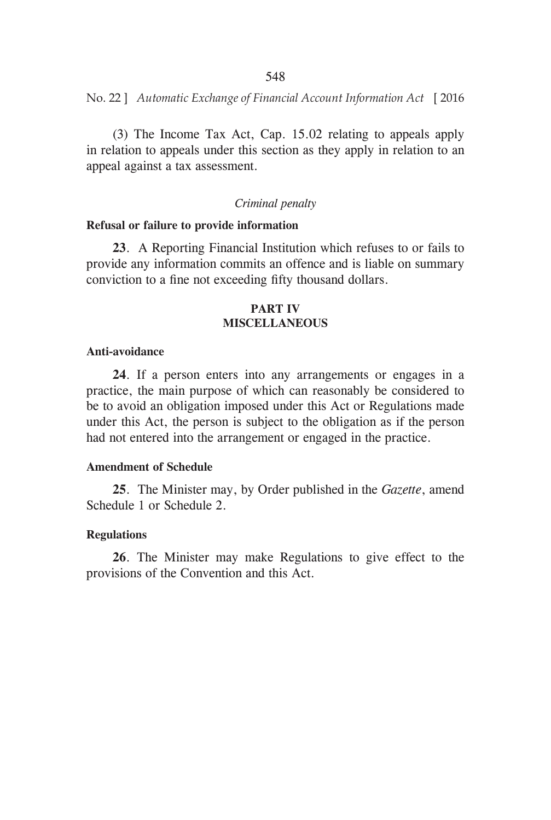(3) The Income Tax Act, Cap. 15.02 relating to appeals apply in relation to appeals under this section as they apply in relation to an appeal against a tax assessment.

#### *Criminal penalty*

## **Refusal or failure to provide information**

 **23**. A Reporting Financial Institution which refuses to or fails to provide any information commits an offence and is liable on summary conviction to a fine not exceeding fifty thousand dollars.

## **PART IV MISCELLANEOUS**

#### **Anti-avoidance**

 **24**. If a person enters into any arrangements or engages in a practice, the main purpose of which can reasonably be considered to be to avoid an obligation imposed under this Act or Regulations made under this Act, the person is subject to the obligation as if the person had not entered into the arrangement or engaged in the practice.

## **Amendment of Schedule**

 **25**. The Minister may, by Order published in the *Gazette*, amend Schedule 1 or Schedule 2.

#### **Regulations**

 **26**. The Minister may make Regulations to give effect to the provisions of the Convention and this Act.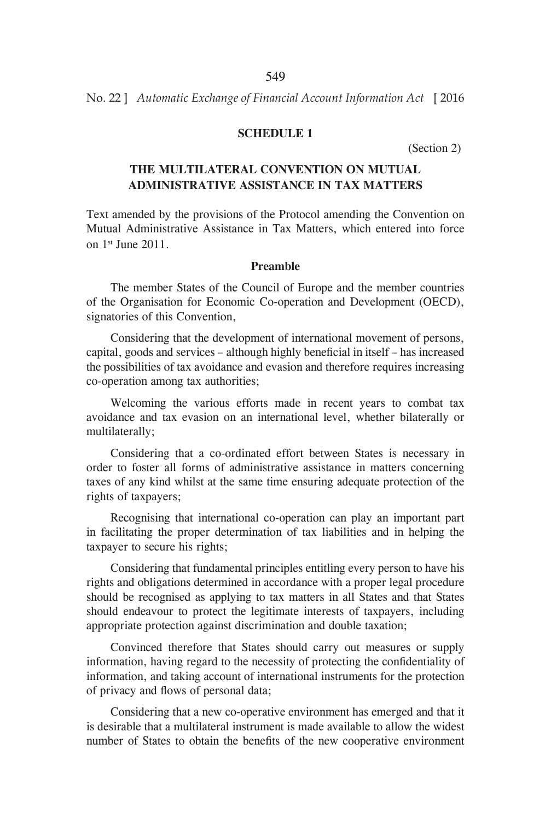## **SCHEDULE 1**

(Section 2)

## **THE MULTILATERAL CONVENTION ON MUTUAL ADMINISTRATIVE ASSISTANCE IN TAX MATTERS**

Text amended by the provisions of the Protocol amending the Convention on Mutual Administrative Assistance in Tax Matters, which entered into force on  $1<sup>st</sup>$  June 2011.

#### **Preamble**

 The member States of the Council of Europe and the member countries of the Organisation for Economic Co-operation and Development (OECD), signatories of this Convention,

 Considering that the development of international movement of persons, capital, goods and services – although highly beneficial in itself – has increased the possibilities of tax avoidance and evasion and therefore requires increasing co-operation among tax authorities;

 Welcoming the various efforts made in recent years to combat tax avoidance and tax evasion on an international level, whether bilaterally or multilaterally;

 Considering that a co-ordinated effort between States is necessary in order to foster all forms of administrative assistance in matters concerning taxes of any kind whilst at the same time ensuring adequate protection of the rights of taxpayers;

 Recognising that international co-operation can play an important part in facilitating the proper determination of tax liabilities and in helping the taxpayer to secure his rights;

 Considering that fundamental principles entitling every person to have his rights and obligations determined in accordance with a proper legal procedure should be recognised as applying to tax matters in all States and that States should endeavour to protect the legitimate interests of taxpayers, including appropriate protection against discrimination and double taxation;

 Convinced therefore that States should carry out measures or supply information, having regard to the necessity of protecting the confidentiality of information, and taking account of international instruments for the protection of privacy and flows of personal data;

 Considering that a new co-operative environment has emerged and that it is desirable that a multilateral instrument is made available to allow the widest number of States to obtain the benefits of the new cooperative environment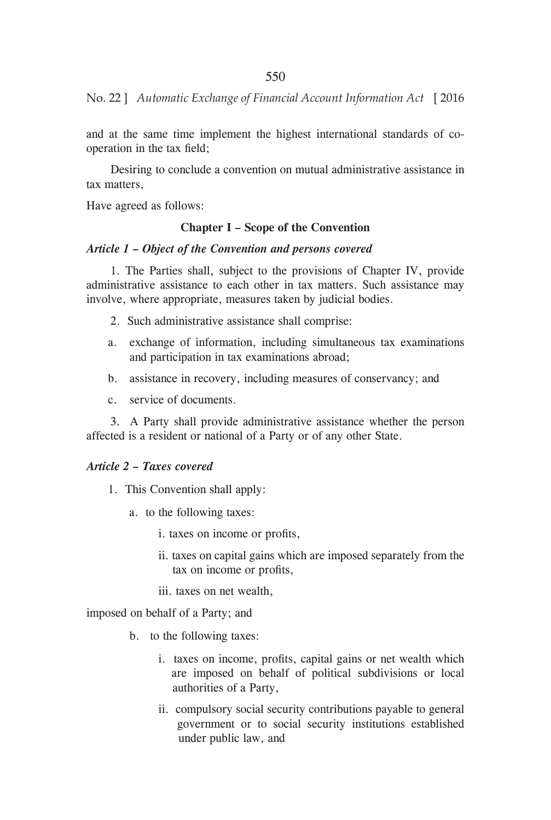and at the same time implement the highest international standards of cooperation in the tax field;

 Desiring to conclude a convention on mutual administrative assistance in tax matters,

Have agreed as follows:

## **Chapter I – Scope of the Convention**

#### *Article 1 – Object of the Convention and persons covered*

 1. The Parties shall, subject to the provisions of Chapter IV, provide administrative assistance to each other in tax matters. Such assistance may involve, where appropriate, measures taken by judicial bodies.

- 2. Such administrative assistance shall comprise:
- a. exchange of information, including simultaneous tax examinations and participation in tax examinations abroad;
- b. assistance in recovery, including measures of conservancy; and
- c. service of documents.

 3. A Party shall provide administrative assistance whether the person affected is a resident or national of a Party or of any other State.

## *Article 2 – Taxes covered*

- 1. This Convention shall apply:
	- a. to the following taxes:
		- i. taxes on income or profits,
		- ii. taxes on capital gains which are imposed separately from the tax on income or profits,
		- iii. taxes on net wealth,

imposed on behalf of a Party; and

- b. to the following taxes:
	- i. taxes on income, profits, capital gains or net wealth which are imposed on behalf of political subdivisions or local authorities of a Party,
	- ii. compulsory social security contributions payable to general government or to social security institutions established under public law, and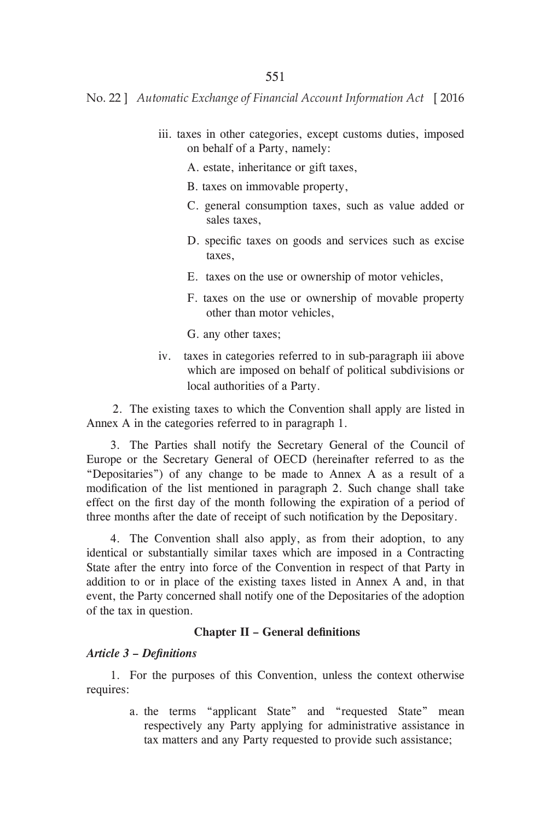- iii. taxes in other categories, except customs duties, imposed on behalf of a Party, namely:
	- A. estate, inheritance or gift taxes,
	- B. taxes on immovable property,
	- C. general consumption taxes, such as value added or sales taxes,
	- D. specific taxes on goods and services such as excise taxes,
	- E. taxes on the use or ownership of motor vehicles,
	- F. taxes on the use or ownership of movable property other than motor vehicles,
	- G. any other taxes;
- iv. taxes in categories referred to in sub-paragraph iii above which are imposed on behalf of political subdivisions or local authorities of a Party.

 2. The existing taxes to which the Convention shall apply are listed in Annex A in the categories referred to in paragraph 1.

 3. The Parties shall notify the Secretary General of the Council of Europe or the Secretary General of OECD (hereinafter referred to as the "Depositaries") of any change to be made to Annex A as a result of a modification of the list mentioned in paragraph 2. Such change shall take effect on the first day of the month following the expiration of a period of three months after the date of receipt of such notification by the Depositary.

 4. The Convention shall also apply, as from their adoption, to any identical or substantially similar taxes which are imposed in a Contracting State after the entry into force of the Convention in respect of that Party in addition to or in place of the existing taxes listed in Annex A and, in that event, the Party concerned shall notify one of the Depositaries of the adoption of the tax in question.

## **Chapter II – General definitions**

#### *Article 3 – Definitions*

 1. For the purposes of this Convention, unless the context otherwise requires:

> a. the terms "applicant State" and "requested State" mean respectively any Party applying for administrative assistance in tax matters and any Party requested to provide such assistance;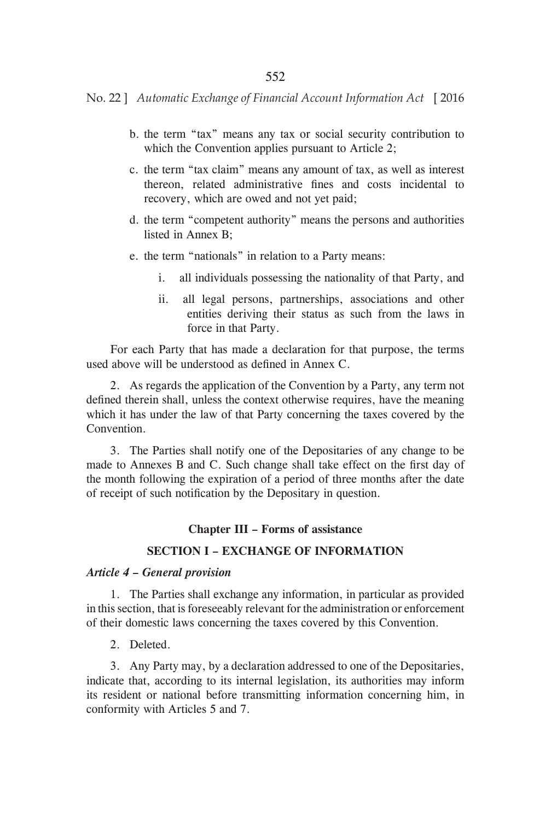- b. the term "tax" means any tax or social security contribution to which the Convention applies pursuant to Article 2;
- c. the term "tax claim" means any amount of tax, as well as interest thereon, related administrative fines and costs incidental to recovery, which are owed and not yet paid;
- d. the term "competent authority" means the persons and authorities listed in Annex B;
- e. the term "nationals" in relation to a Party means:
	- i. all individuals possessing the nationality of that Party, and
	- ii. all legal persons, partnerships, associations and other entities deriving their status as such from the laws in force in that Party.

 For each Party that has made a declaration for that purpose, the terms used above will be understood as defined in Annex C.

 2. As regards the application of the Convention by a Party, any term not defined therein shall, unless the context otherwise requires, have the meaning which it has under the law of that Party concerning the taxes covered by the Convention.

 3. The Parties shall notify one of the Depositaries of any change to be made to Annexes B and C. Such change shall take effect on the first day of the month following the expiration of a period of three months after the date of receipt of such notification by the Depositary in question.

## **Chapter III – Forms of assistance**

#### **SECTION I – EXCHANGE OF INFORMATION**

#### *Article 4 – General provision*

 1. The Parties shall exchange any information, in particular as provided in this section, that is foreseeably relevant for the administration or enforcement of their domestic laws concerning the taxes covered by this Convention.

2. Deleted.

 3. Any Party may, by a declaration addressed to one of the Depositaries, indicate that, according to its internal legislation, its authorities may inform its resident or national before transmitting information concerning him, in conformity with Articles 5 and 7.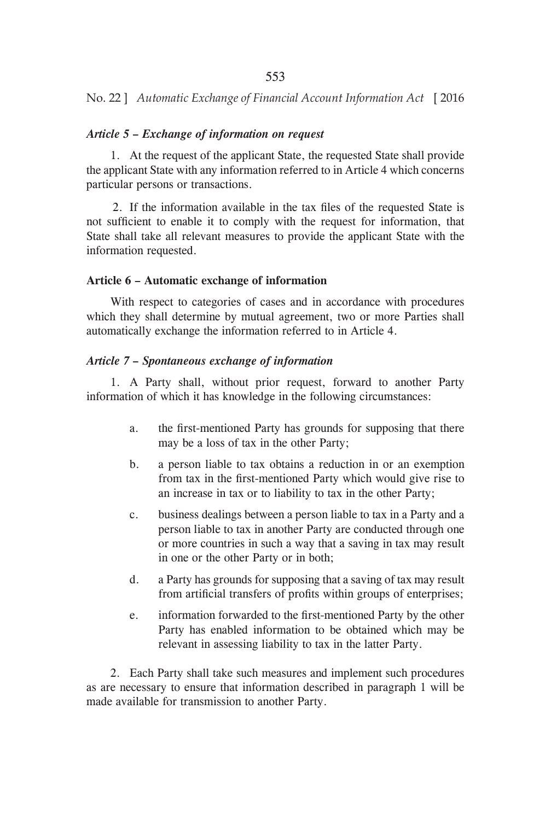#### *Article 5 – Exchange of information on request*

 1. At the request of the applicant State, the requested State shall provide the applicant State with any information referred to in Article 4 which concerns particular persons or transactions.

2. If the information available in the tax files of the requested State is not sufficient to enable it to comply with the request for information, that State shall take all relevant measures to provide the applicant State with the information requested.

#### **Article 6 – Automatic exchange of information**

 With respect to categories of cases and in accordance with procedures which they shall determine by mutual agreement, two or more Parties shall automatically exchange the information referred to in Article 4.

## *Article 7 – Spontaneous exchange of information*

 1. A Party shall, without prior request, forward to another Party information of which it has knowledge in the following circumstances:

- a. the first-mentioned Party has grounds for supposing that there may be a loss of tax in the other Party;
- b. a person liable to tax obtains a reduction in or an exemption from tax in the first-mentioned Party which would give rise to an increase in tax or to liability to tax in the other Party;
- c. business dealings between a person liable to tax in a Party and a person liable to tax in another Party are conducted through one or more countries in such a way that a saving in tax may result in one or the other Party or in both;
- d. a Party has grounds for supposing that a saving of tax may result from artificial transfers of profits within groups of enterprises;
- e. information forwarded to the first-mentioned Party by the other Party has enabled information to be obtained which may be relevant in assessing liability to tax in the latter Party.

 2. Each Party shall take such measures and implement such procedures as are necessary to ensure that information described in paragraph 1 will be made available for transmission to another Party.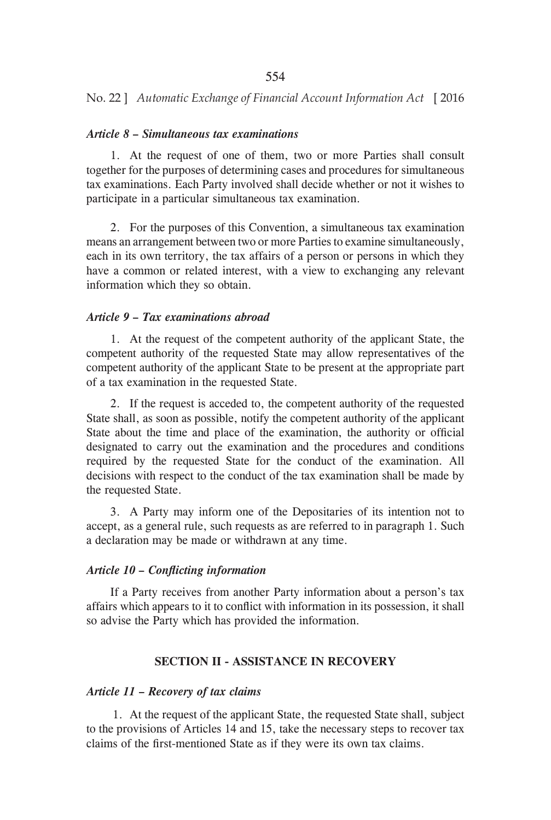## *Article 8 – Simultaneous tax examinations*

 1. At the request of one of them, two or more Parties shall consult together for the purposes of determining cases and procedures for simultaneous tax examinations. Each Party involved shall decide whether or not it wishes to participate in a particular simultaneous tax examination.

 2. For the purposes of this Convention, a simultaneous tax examination means an arrangement between two or more Parties to examine simultaneously, each in its own territory, the tax affairs of a person or persons in which they have a common or related interest, with a view to exchanging any relevant information which they so obtain.

## *Article 9 – Tax examinations abroad*

 1. At the request of the competent authority of the applicant State, the competent authority of the requested State may allow representatives of the competent authority of the applicant State to be present at the appropriate part of a tax examination in the requested State.

 2. If the request is acceded to, the competent authority of the requested State shall, as soon as possible, notify the competent authority of the applicant State about the time and place of the examination, the authority or official designated to carry out the examination and the procedures and conditions required by the requested State for the conduct of the examination. All decisions with respect to the conduct of the tax examination shall be made by the requested State.

 3. A Party may inform one of the Depositaries of its intention not to accept, as a general rule, such requests as are referred to in paragraph 1. Such a declaration may be made or withdrawn at any time.

#### *Article 10 – Conflicting information*

 If a Party receives from another Party information about a person's tax affairs which appears to it to conflict with information in its possession, it shall so advise the Party which has provided the information.

## **SECTION II - ASSISTANCE IN RECOVERY**

#### *Article 11 – Recovery of tax claims*

 1. At the request of the applicant State, the requested State shall, subject to the provisions of Articles 14 and 15, take the necessary steps to recover tax claims of the first-mentioned State as if they were its own tax claims.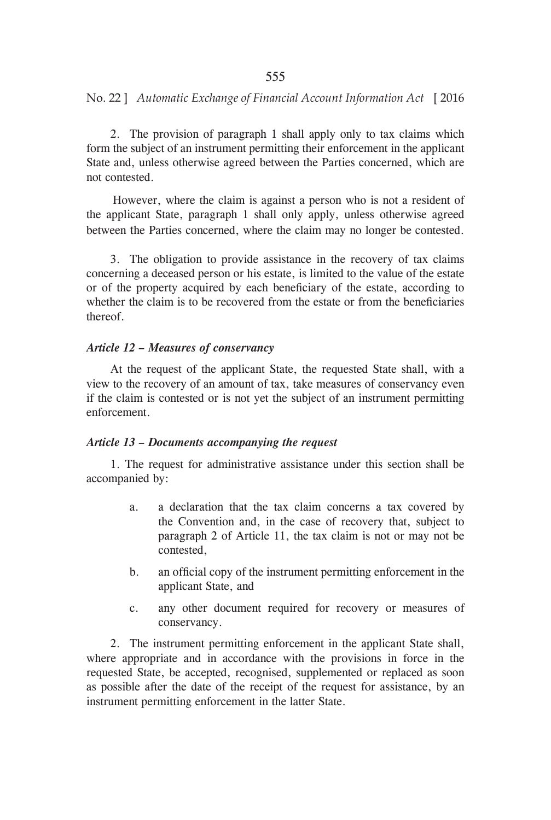2. The provision of paragraph 1 shall apply only to tax claims which form the subject of an instrument permitting their enforcement in the applicant State and, unless otherwise agreed between the Parties concerned, which are not contested.

 However, where the claim is against a person who is not a resident of the applicant State, paragraph 1 shall only apply, unless otherwise agreed between the Parties concerned, where the claim may no longer be contested.

 3. The obligation to provide assistance in the recovery of tax claims concerning a deceased person or his estate, is limited to the value of the estate or of the property acquired by each beneficiary of the estate, according to whether the claim is to be recovered from the estate or from the beneficiaries thereof.

#### *Article 12 – Measures of conservancy*

 At the request of the applicant State, the requested State shall, with a view to the recovery of an amount of tax, take measures of conservancy even if the claim is contested or is not yet the subject of an instrument permitting enforcement.

#### *Article 13 – Documents accompanying the request*

 1. The request for administrative assistance under this section shall be accompanied by:

- a. a declaration that the tax claim concerns a tax covered by the Convention and, in the case of recovery that, subject to paragraph 2 of Article 11, the tax claim is not or may not be contested,
- b. an official copy of the instrument permitting enforcement in the applicant State, and
- c. any other document required for recovery or measures of conservancy.

 2. The instrument permitting enforcement in the applicant State shall, where appropriate and in accordance with the provisions in force in the requested State, be accepted, recognised, supplemented or replaced as soon as possible after the date of the receipt of the request for assistance, by an instrument permitting enforcement in the latter State.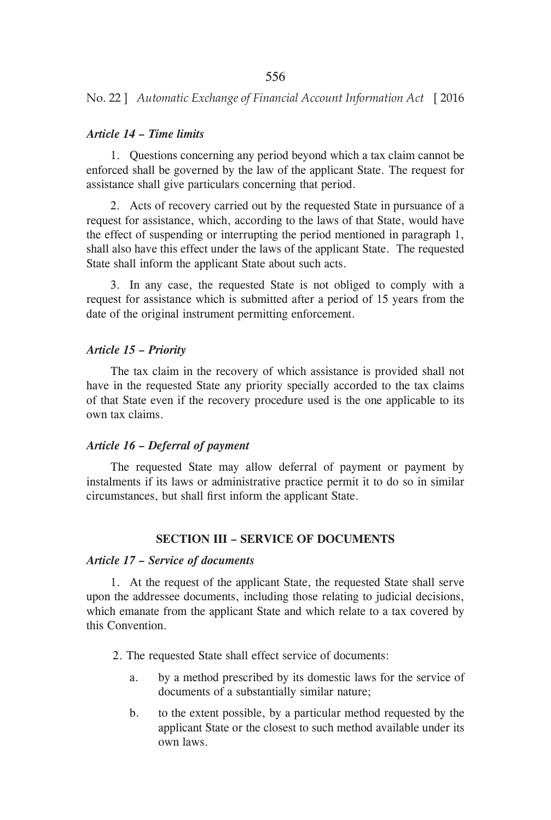#### *Article 14 – Time limits*

 1. Questions concerning any period beyond which a tax claim cannot be enforced shall be governed by the law of the applicant State. The request for assistance shall give particulars concerning that period.

 2. Acts of recovery carried out by the requested State in pursuance of a request for assistance, which, according to the laws of that State, would have the effect of suspending or interrupting the period mentioned in paragraph 1, shall also have this effect under the laws of the applicant State. The requested State shall inform the applicant State about such acts.

 3. In any case, the requested State is not obliged to comply with a request for assistance which is submitted after a period of 15 years from the date of the original instrument permitting enforcement.

#### *Article 15 – Priority*

 The tax claim in the recovery of which assistance is provided shall not have in the requested State any priority specially accorded to the tax claims of that State even if the recovery procedure used is the one applicable to its own tax claims.

#### *Article 16 – Deferral of payment*

 The requested State may allow deferral of payment or payment by instalments if its laws or administrative practice permit it to do so in similar circumstances, but shall first inform the applicant State.

#### **SECTION III – SERVICE OF DOCUMENTS**

## *Article 17 – Service of documents*

 1. At the request of the applicant State, the requested State shall serve upon the addressee documents, including those relating to judicial decisions, which emanate from the applicant State and which relate to a tax covered by this Convention.

2. The requested State shall effect service of documents:

- a. by a method prescribed by its domestic laws for the service of documents of a substantially similar nature;
- b. to the extent possible, by a particular method requested by the applicant State or the closest to such method available under its own laws.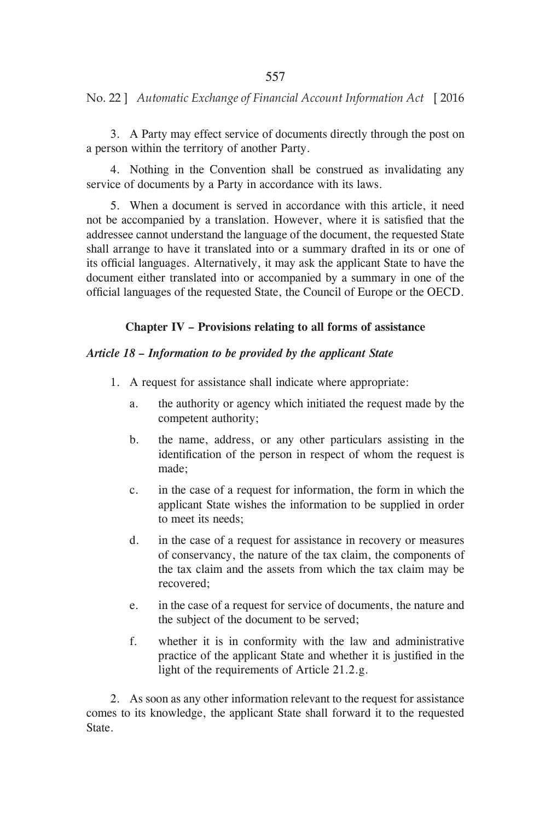3. A Party may effect service of documents directly through the post on a person within the territory of another Party.

 4. Nothing in the Convention shall be construed as invalidating any service of documents by a Party in accordance with its laws.

 5. When a document is served in accordance with this article, it need not be accompanied by a translation. However, where it is satisfied that the addressee cannot understand the language of the document, the requested State shall arrange to have it translated into or a summary drafted in its or one of its official languages. Alternatively, it may ask the applicant State to have the document either translated into or accompanied by a summary in one of the official languages of the requested State, the Council of Europe or the OECD.

## **Chapter IV – Provisions relating to all forms of assistance**

## *Article 18 – Information to be provided by the applicant State*

- 1. A request for assistance shall indicate where appropriate:
	- a. the authority or agency which initiated the request made by the competent authority;
	- b. the name, address, or any other particulars assisting in the identification of the person in respect of whom the request is made;
	- c. in the case of a request for information, the form in which the applicant State wishes the information to be supplied in order to meet its needs;
	- d. in the case of a request for assistance in recovery or measures of conservancy, the nature of the tax claim, the components of the tax claim and the assets from which the tax claim may be recovered;
	- e. in the case of a request for service of documents, the nature and the subject of the document to be served;
	- f. whether it is in conformity with the law and administrative practice of the applicant State and whether it is justified in the light of the requirements of Article 21.2.g.

 2. As soon as any other information relevant to the request for assistance comes to its knowledge, the applicant State shall forward it to the requested State.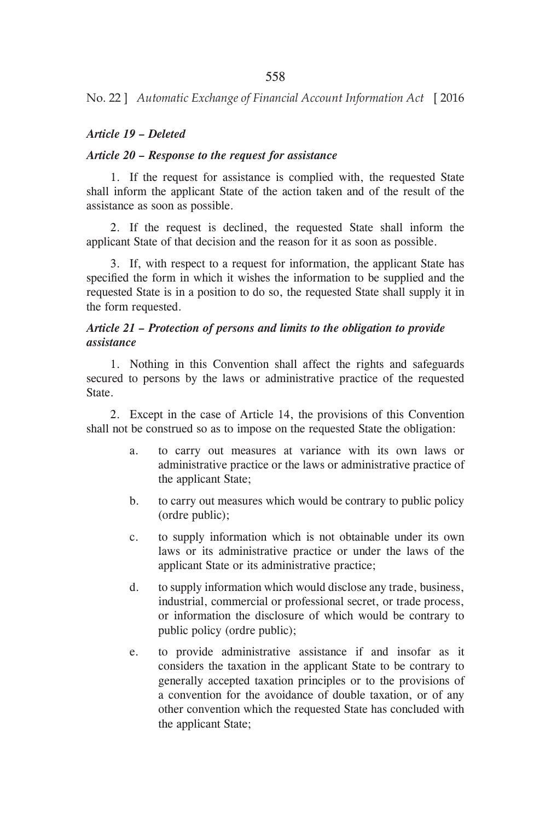## *Article 19 – Deleted*

#### *Article 20 – Response to the request for assistance*

 1. If the request for assistance is complied with, the requested State shall inform the applicant State of the action taken and of the result of the assistance as soon as possible.

 2. If the request is declined, the requested State shall inform the applicant State of that decision and the reason for it as soon as possible.

 3. If, with respect to a request for information, the applicant State has specified the form in which it wishes the information to be supplied and the requested State is in a position to do so, the requested State shall supply it in the form requested.

## *Article 21 – Protection of persons and limits to the obligation to provide assistance*

 1. Nothing in this Convention shall affect the rights and safeguards secured to persons by the laws or administrative practice of the requested State.

 2. Except in the case of Article 14, the provisions of this Convention shall not be construed so as to impose on the requested State the obligation:

- a. to carry out measures at variance with its own laws or administrative practice or the laws or administrative practice of the applicant State;
- b. to carry out measures which would be contrary to public policy (ordre public);
- c. to supply information which is not obtainable under its own laws or its administrative practice or under the laws of the applicant State or its administrative practice;
- d. to supply information which would disclose any trade, business, industrial, commercial or professional secret, or trade process, or information the disclosure of which would be contrary to public policy (ordre public);
- e. to provide administrative assistance if and insofar as it considers the taxation in the applicant State to be contrary to generally accepted taxation principles or to the provisions of a convention for the avoidance of double taxation, or of any other convention which the requested State has concluded with the applicant State;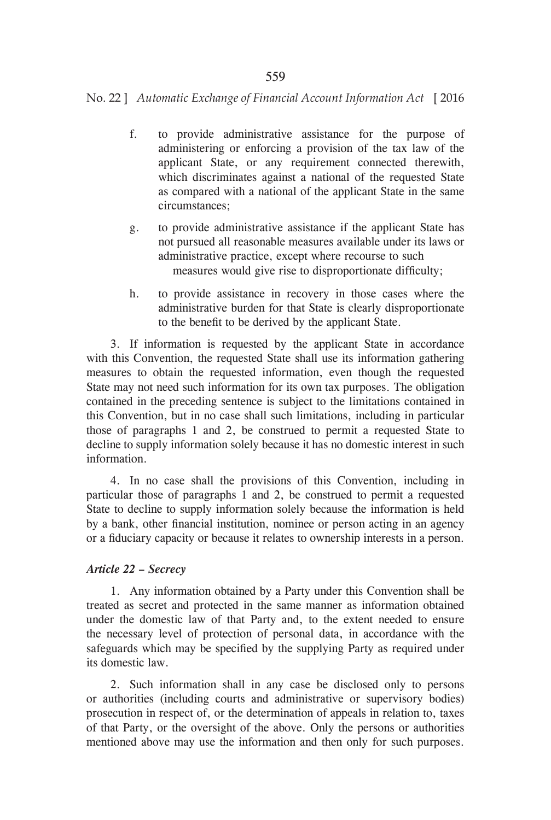- f. to provide administrative assistance for the purpose of administering or enforcing a provision of the tax law of the applicant State, or any requirement connected therewith, which discriminates against a national of the requested State as compared with a national of the applicant State in the same circumstances;
- g. to provide administrative assistance if the applicant State has not pursued all reasonable measures available under its laws or administrative practice, except where recourse to such measures would give rise to disproportionate difficulty;
- h. to provide assistance in recovery in those cases where the administrative burden for that State is clearly disproportionate to the benefit to be derived by the applicant State.

 3. If information is requested by the applicant State in accordance with this Convention, the requested State shall use its information gathering measures to obtain the requested information, even though the requested State may not need such information for its own tax purposes. The obligation contained in the preceding sentence is subject to the limitations contained in this Convention, but in no case shall such limitations, including in particular those of paragraphs 1 and 2, be construed to permit a requested State to decline to supply information solely because it has no domestic interest in such information.

 4. In no case shall the provisions of this Convention, including in particular those of paragraphs 1 and 2, be construed to permit a requested State to decline to supply information solely because the information is held by a bank, other financial institution, nominee or person acting in an agency or a fiduciary capacity or because it relates to ownership interests in a person.

#### *Article 22 – Secrecy*

 1. Any information obtained by a Party under this Convention shall be treated as secret and protected in the same manner as information obtained under the domestic law of that Party and, to the extent needed to ensure the necessary level of protection of personal data, in accordance with the safeguards which may be specified by the supplying Party as required under its domestic law.

 2. Such information shall in any case be disclosed only to persons or authorities (including courts and administrative or supervisory bodies) prosecution in respect of, or the determination of appeals in relation to, taxes of that Party, or the oversight of the above. Only the persons or authorities mentioned above may use the information and then only for such purposes.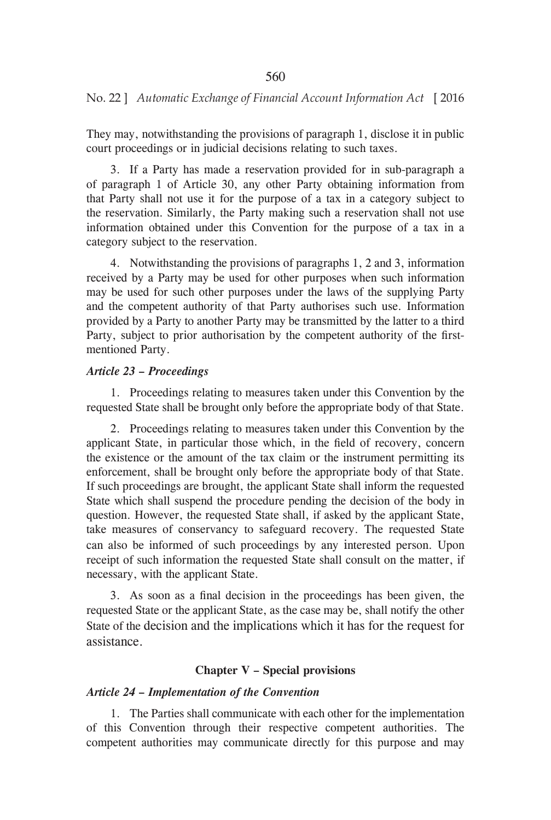They may, notwithstanding the provisions of paragraph 1, disclose it in public court proceedings or in judicial decisions relating to such taxes.

 3. If a Party has made a reservation provided for in sub-paragraph a of paragraph 1 of Article 30, any other Party obtaining information from that Party shall not use it for the purpose of a tax in a category subject to the reservation. Similarly, the Party making such a reservation shall not use information obtained under this Convention for the purpose of a tax in a category subject to the reservation.

 4. Notwithstanding the provisions of paragraphs 1, 2 and 3, information received by a Party may be used for other purposes when such information may be used for such other purposes under the laws of the supplying Party and the competent authority of that Party authorises such use. Information provided by a Party to another Party may be transmitted by the latter to a third Party, subject to prior authorisation by the competent authority of the firstmentioned Party.

#### *Article 23 – Proceedings*

 1. Proceedings relating to measures taken under this Convention by the requested State shall be brought only before the appropriate body of that State.

 2. Proceedings relating to measures taken under this Convention by the applicant State, in particular those which, in the field of recovery, concern the existence or the amount of the tax claim or the instrument permitting its enforcement, shall be brought only before the appropriate body of that State. If such proceedings are brought, the applicant State shall inform the requested State which shall suspend the procedure pending the decision of the body in question. However, the requested State shall, if asked by the applicant State, take measures of conservancy to safeguard recovery. The requested State can also be informed of such proceedings by any interested person. Upon receipt of such information the requested State shall consult on the matter, if necessary, with the applicant State.

 3. As soon as a final decision in the proceedings has been given, the requested State or the applicant State, as the case may be, shall notify the other State of the decision and the implications which it has for the request for assistance.

#### **Chapter V – Special provisions**

#### *Article 24 – Implementation of the Convention*

 1. The Parties shall communicate with each other for the implementation of this Convention through their respective competent authorities. The competent authorities may communicate directly for this purpose and may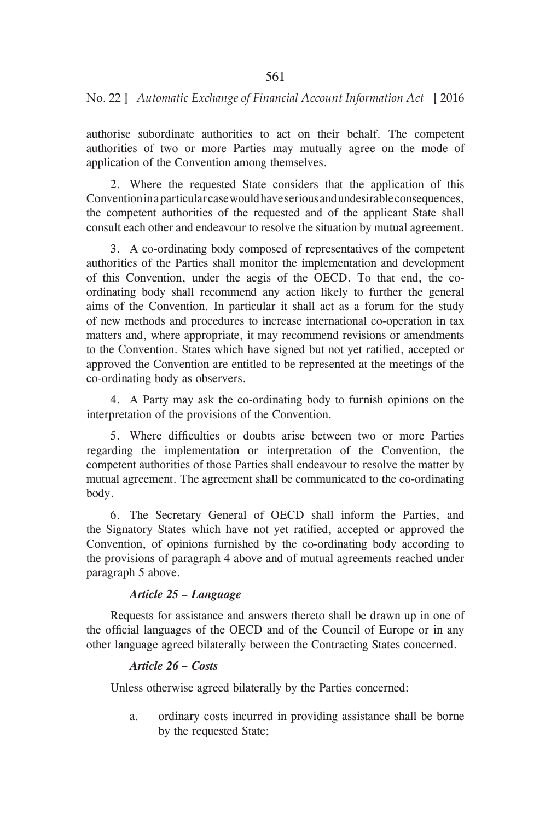authorise subordinate authorities to act on their behalf. The competent authorities of two or more Parties may mutually agree on the mode of application of the Convention among themselves.

 2. Where the requested State considers that the application of this Convention in a particular case would have serious and undesirable consequences, the competent authorities of the requested and of the applicant State shall consult each other and endeavour to resolve the situation by mutual agreement.

 3. A co-ordinating body composed of representatives of the competent authorities of the Parties shall monitor the implementation and development of this Convention, under the aegis of the OECD. To that end, the coordinating body shall recommend any action likely to further the general aims of the Convention. In particular it shall act as a forum for the study of new methods and procedures to increase international co-operation in tax matters and, where appropriate, it may recommend revisions or amendments to the Convention. States which have signed but not yet ratified, accepted or approved the Convention are entitled to be represented at the meetings of the co-ordinating body as observers.

 4. A Party may ask the co-ordinating body to furnish opinions on the interpretation of the provisions of the Convention.

5. Where difficulties or doubts arise between two or more Parties regarding the implementation or interpretation of the Convention, the competent authorities of those Parties shall endeavour to resolve the matter by mutual agreement. The agreement shall be communicated to the co-ordinating body.

 6. The Secretary General of OECD shall inform the Parties, and the Signatory States which have not yet ratified, accepted or approved the Convention, of opinions furnished by the co-ordinating body according to the provisions of paragraph 4 above and of mutual agreements reached under paragraph 5 above.

## *Article 25 – Language*

 Requests for assistance and answers thereto shall be drawn up in one of the official languages of the OECD and of the Council of Europe or in any other language agreed bilaterally between the Contracting States concerned.

## *Article 26 – Costs*

Unless otherwise agreed bilaterally by the Parties concerned:

a. ordinary costs incurred in providing assistance shall be borne by the requested State;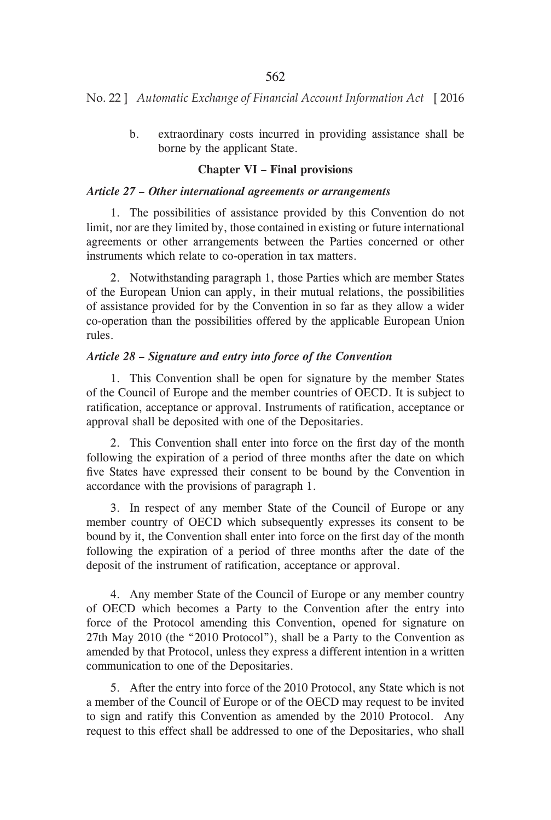b. extraordinary costs incurred in providing assistance shall be borne by the applicant State.

## **Chapter VI – Final provisions**

## *Article 27 – Other international agreements or arrangements*

 1. The possibilities of assistance provided by this Convention do not limit, nor are they limited by, those contained in existing or future international agreements or other arrangements between the Parties concerned or other instruments which relate to co-operation in tax matters.

 2. Notwithstanding paragraph 1, those Parties which are member States of the European Union can apply, in their mutual relations, the possibilities of assistance provided for by the Convention in so far as they allow a wider co-operation than the possibilities offered by the applicable European Union rules.

## *Article 28 – Signature and entry into force of the Convention*

 1. This Convention shall be open for signature by the member States of the Council of Europe and the member countries of OECD. It is subject to ratification, acceptance or approval. Instruments of ratification, acceptance or approval shall be deposited with one of the Depositaries.

2. This Convention shall enter into force on the first day of the month following the expiration of a period of three months after the date on which five States have expressed their consent to be bound by the Convention in accordance with the provisions of paragraph 1.

 3. In respect of any member State of the Council of Europe or any member country of OECD which subsequently expresses its consent to be bound by it, the Convention shall enter into force on the first day of the month following the expiration of a period of three months after the date of the deposit of the instrument of ratification, acceptance or approval.

 4. Any member State of the Council of Europe or any member country of OECD which becomes a Party to the Convention after the entry into force of the Protocol amending this Convention, opened for signature on 27th May 2010 (the "2010 Protocol"), shall be a Party to the Convention as amended by that Protocol, unless they express a different intention in a written communication to one of the Depositaries.

 5. After the entry into force of the 2010 Protocol, any State which is not a member of the Council of Europe or of the OECD may request to be invited to sign and ratify this Convention as amended by the 2010 Protocol. Any request to this effect shall be addressed to one of the Depositaries, who shall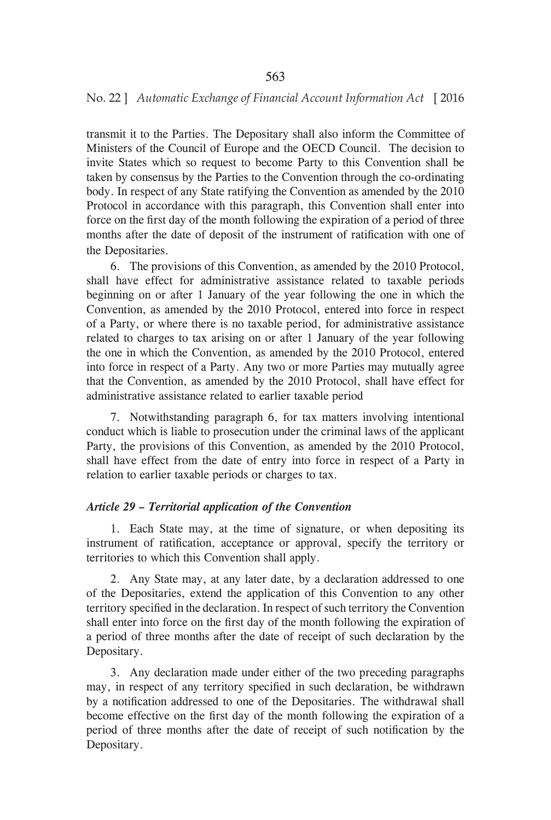transmit it to the Parties. The Depositary shall also inform the Committee of Ministers of the Council of Europe and the OECD Council. The decision to invite States which so request to become Party to this Convention shall be taken by consensus by the Parties to the Convention through the co-ordinating body. In respect of any State ratifying the Convention as amended by the 2010 Protocol in accordance with this paragraph, this Convention shall enter into force on the first day of the month following the expiration of a period of three months after the date of deposit of the instrument of ratification with one of the Depositaries.

 6. The provisions of this Convention, as amended by the 2010 Protocol, shall have effect for administrative assistance related to taxable periods beginning on or after 1 January of the year following the one in which the Convention, as amended by the 2010 Protocol, entered into force in respect of a Party, or where there is no taxable period, for administrative assistance related to charges to tax arising on or after 1 January of the year following the one in which the Convention, as amended by the 2010 Protocol, entered into force in respect of a Party. Any two or more Parties may mutually agree that the Convention, as amended by the 2010 Protocol, shall have effect for administrative assistance related to earlier taxable period

 7. Notwithstanding paragraph 6, for tax matters involving intentional conduct which is liable to prosecution under the criminal laws of the applicant Party, the provisions of this Convention, as amended by the 2010 Protocol, shall have effect from the date of entry into force in respect of a Party in relation to earlier taxable periods or charges to tax.

#### *Article 29 – Territorial application of the Convention*

 1. Each State may, at the time of signature, or when depositing its instrument of ratification, acceptance or approval, specify the territory or territories to which this Convention shall apply.

 2. Any State may, at any later date, by a declaration addressed to one of the Depositaries, extend the application of this Convention to any other territory specified in the declaration. In respect of such territory the Convention shall enter into force on the first day of the month following the expiration of a period of three months after the date of receipt of such declaration by the Depositary.

 3. Any declaration made under either of the two preceding paragraphs may, in respect of any territory specified in such declaration, be withdrawn by a notification addressed to one of the Depositaries. The withdrawal shall become effective on the first day of the month following the expiration of a period of three months after the date of receipt of such notification by the Depositary.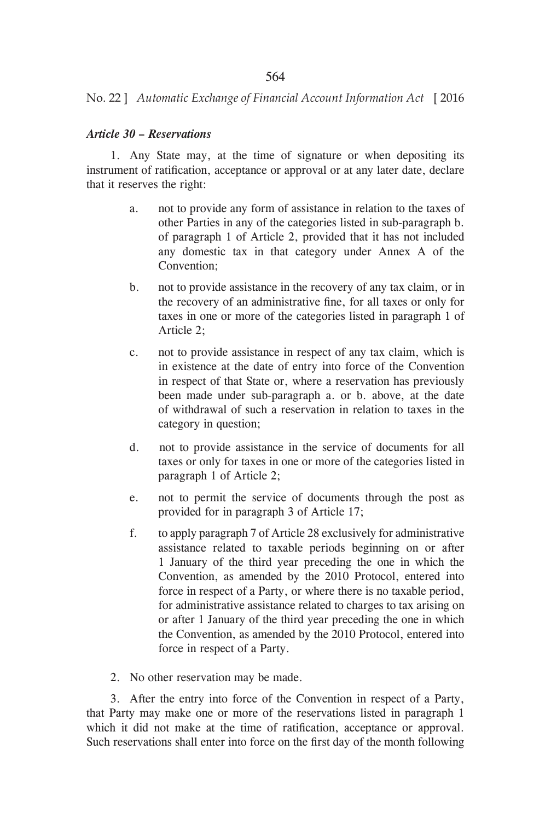## *Article 30 – Reservations*

 1. Any State may, at the time of signature or when depositing its instrument of ratification, acceptance or approval or at any later date, declare that it reserves the right:

- a. not to provide any form of assistance in relation to the taxes of other Parties in any of the categories listed in sub-paragraph b. of paragraph 1 of Article 2, provided that it has not included any domestic tax in that category under Annex A of the Convention;
- b. not to provide assistance in the recovery of any tax claim, or in the recovery of an administrative fine, for all taxes or only for taxes in one or more of the categories listed in paragraph 1 of Article 2;
- c. not to provide assistance in respect of any tax claim, which is in existence at the date of entry into force of the Convention in respect of that State or, where a reservation has previously been made under sub-paragraph a. or b. above, at the date of withdrawal of such a reservation in relation to taxes in the category in question;
- d. not to provide assistance in the service of documents for all taxes or only for taxes in one or more of the categories listed in paragraph 1 of Article 2;
- e. not to permit the service of documents through the post as provided for in paragraph 3 of Article 17;
- f. to apply paragraph 7 of Article 28 exclusively for administrative assistance related to taxable periods beginning on or after 1 January of the third year preceding the one in which the Convention, as amended by the 2010 Protocol, entered into force in respect of a Party, or where there is no taxable period, for administrative assistance related to charges to tax arising on or after 1 January of the third year preceding the one in which the Convention, as amended by the 2010 Protocol, entered into force in respect of a Party.
- 2. No other reservation may be made.

 3. After the entry into force of the Convention in respect of a Party, that Party may make one or more of the reservations listed in paragraph 1 which it did not make at the time of ratification, acceptance or approval. Such reservations shall enter into force on the first day of the month following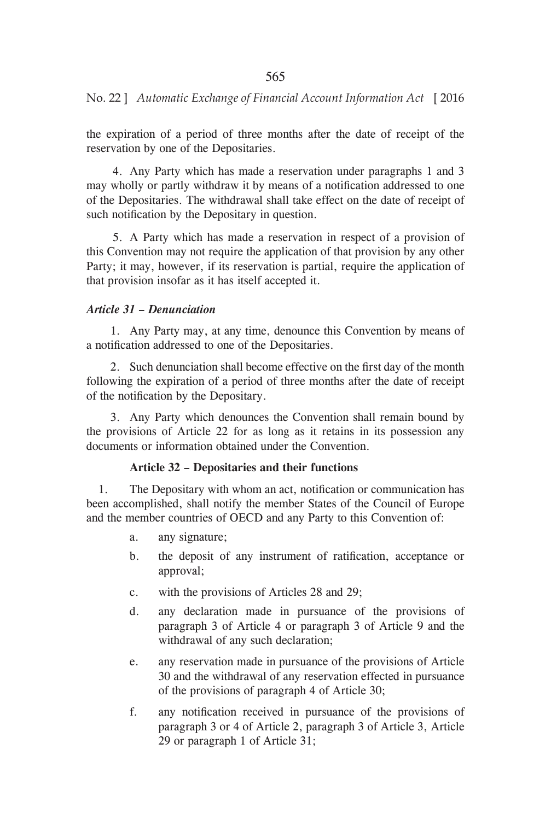the expiration of a period of three months after the date of receipt of the reservation by one of the Depositaries.

 4. Any Party which has made a reservation under paragraphs 1 and 3 may wholly or partly withdraw it by means of a notification addressed to one of the Depositaries. The withdrawal shall take effect on the date of receipt of such notification by the Depositary in question.

 5. A Party which has made a reservation in respect of a provision of this Convention may not require the application of that provision by any other Party; it may, however, if its reservation is partial, require the application of that provision insofar as it has itself accepted it.

# *Article 31 – Denunciation*

 1. Any Party may, at any time, denounce this Convention by means of a notification addressed to one of the Depositaries.

2. Such denunciation shall become effective on the first day of the month following the expiration of a period of three months after the date of receipt of the notification by the Depositary.

 3. Any Party which denounces the Convention shall remain bound by the provisions of Article 22 for as long as it retains in its possession any documents or information obtained under the Convention.

## **Article 32 – Depositaries and their functions**

1. The Depositary with whom an act, notification or communication has been accomplished, shall notify the member States of the Council of Europe and the member countries of OECD and any Party to this Convention of:

- a. any signature;
- b. the deposit of any instrument of ratification, acceptance or approval;
- c. with the provisions of Articles 28 and 29;
- d. any declaration made in pursuance of the provisions of paragraph 3 of Article 4 or paragraph 3 of Article 9 and the withdrawal of any such declaration;
- e. any reservation made in pursuance of the provisions of Article 30 and the withdrawal of any reservation effected in pursuance of the provisions of paragraph 4 of Article 30;
- f. any notification received in pursuance of the provisions of paragraph 3 or 4 of Article 2, paragraph 3 of Article 3, Article 29 or paragraph 1 of Article 31;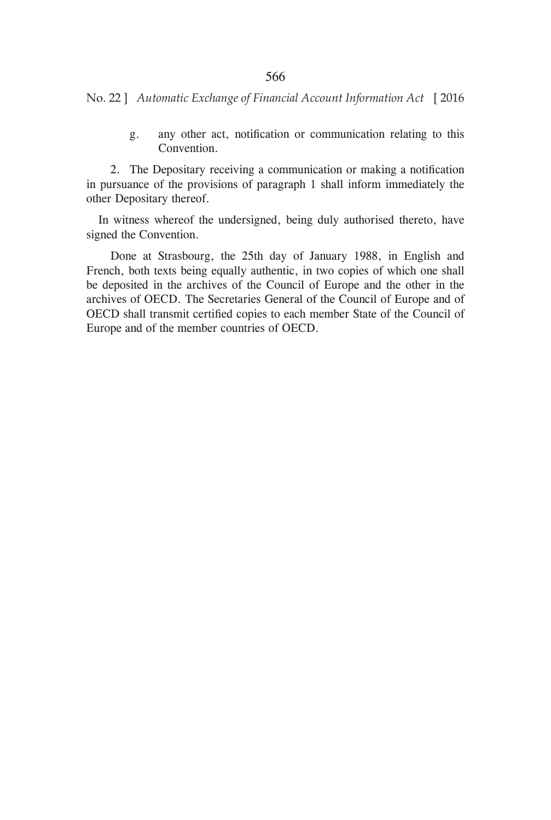g. any other act, notification or communication relating to this Convention.

2. The Depositary receiving a communication or making a notification in pursuance of the provisions of paragraph 1 shall inform immediately the other Depositary thereof.

In witness whereof the undersigned, being duly authorised thereto, have signed the Convention.

 Done at Strasbourg, the 25th day of January 1988, in English and French, both texts being equally authentic, in two copies of which one shall be deposited in the archives of the Council of Europe and the other in the archives of OECD. The Secretaries General of the Council of Europe and of OECD shall transmit certified copies to each member State of the Council of Europe and of the member countries of OECD.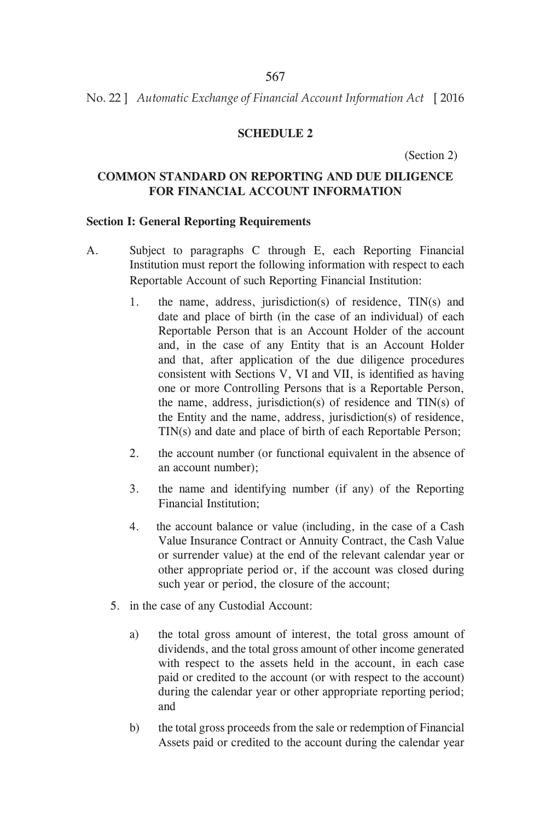## **SCHEDULE 2**

(Section 2)

## **COMMON STANDARD ON REPORTING AND DUE DILIGENCE FOR FINANCIAL ACCOUNT INFORMATION**

#### **Section I: General Reporting Requirements**

- A. Subject to paragraphs C through E, each Reporting Financial Institution must report the following information with respect to each Reportable Account of such Reporting Financial Institution:
	- 1. the name, address, jurisdiction(s) of residence, TIN(s) and date and place of birth (in the case of an individual) of each Reportable Person that is an Account Holder of the account and, in the case of any Entity that is an Account Holder and that, after application of the due diligence procedures consistent with Sections V, VI and VII, is identified as having one or more Controlling Persons that is a Reportable Person, the name, address, jurisdiction(s) of residence and TIN(s) of the Entity and the name, address, jurisdiction(s) of residence, TIN(s) and date and place of birth of each Reportable Person;
	- 2. the account number (or functional equivalent in the absence of an account number);
	- 3. the name and identifying number (if any) of the Reporting Financial Institution;
	- 4. the account balance or value (including, in the case of a Cash Value Insurance Contract or Annuity Contract, the Cash Value or surrender value) at the end of the relevant calendar year or other appropriate period or, if the account was closed during such year or period, the closure of the account;
	- 5. in the case of any Custodial Account:
		- a) the total gross amount of interest, the total gross amount of dividends, and the total gross amount of other income generated with respect to the assets held in the account, in each case paid or credited to the account (or with respect to the account) during the calendar year or other appropriate reporting period; and
		- b) the total gross proceeds from the sale or redemption of Financial Assets paid or credited to the account during the calendar year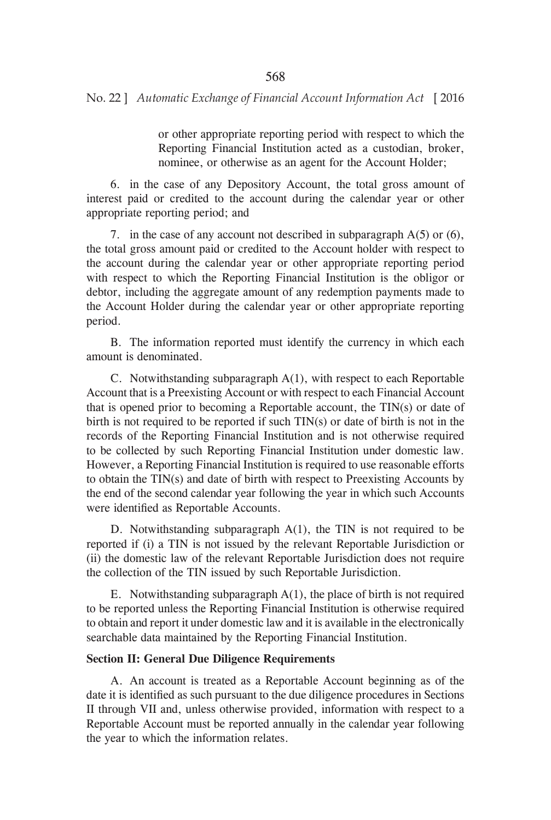or other appropriate reporting period with respect to which the Reporting Financial Institution acted as a custodian, broker, nominee, or otherwise as an agent for the Account Holder;

 6. in the case of any Depository Account, the total gross amount of interest paid or credited to the account during the calendar year or other appropriate reporting period; and

 7. in the case of any account not described in subparagraph A(5) or (6), the total gross amount paid or credited to the Account holder with respect to the account during the calendar year or other appropriate reporting period with respect to which the Reporting Financial Institution is the obligor or debtor, including the aggregate amount of any redemption payments made to the Account Holder during the calendar year or other appropriate reporting period.

 B. The information reported must identify the currency in which each amount is denominated.

 C. Notwithstanding subparagraph A(1), with respect to each Reportable Account that is a Preexisting Account or with respect to each Financial Account that is opened prior to becoming a Reportable account, the TIN(s) or date of birth is not required to be reported if such TIN(s) or date of birth is not in the records of the Reporting Financial Institution and is not otherwise required to be collected by such Reporting Financial Institution under domestic law. However, a Reporting Financial Institution is required to use reasonable efforts to obtain the TIN(s) and date of birth with respect to Preexisting Accounts by the end of the second calendar year following the year in which such Accounts were identified as Reportable Accounts.

 D. Notwithstanding subparagraph A(1), the TIN is not required to be reported if (i) a TIN is not issued by the relevant Reportable Jurisdiction or (ii) the domestic law of the relevant Reportable Jurisdiction does not require the collection of the TIN issued by such Reportable Jurisdiction.

E. Notwithstanding subparagraph  $A(1)$ , the place of birth is not required to be reported unless the Reporting Financial Institution is otherwise required to obtain and report it under domestic law and it is available in the electronically searchable data maintained by the Reporting Financial Institution.

#### **Section II: General Due Diligence Requirements**

 A. An account is treated as a Reportable Account beginning as of the date it is identified as such pursuant to the due diligence procedures in Sections II through VII and, unless otherwise provided, information with respect to a Reportable Account must be reported annually in the calendar year following the year to which the information relates.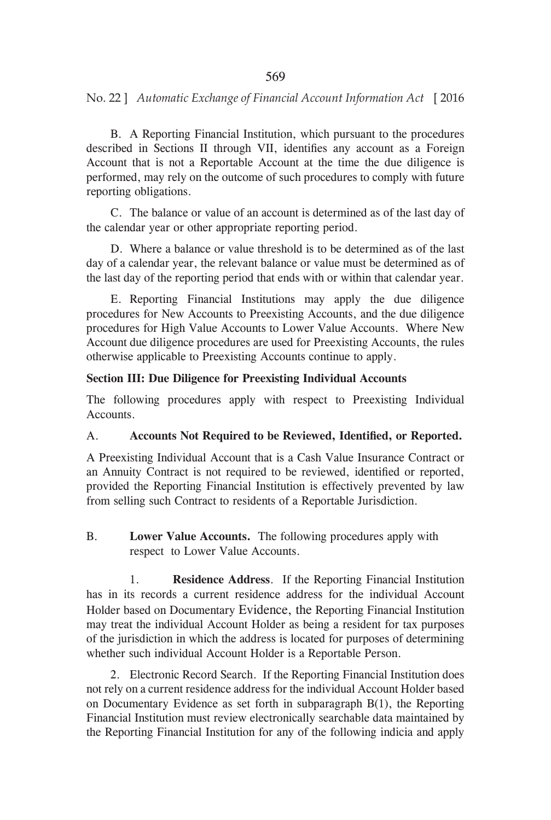B. A Reporting Financial Institution, which pursuant to the procedures described in Sections II through VII, identifies any account as a Foreign Account that is not a Reportable Account at the time the due diligence is performed, may rely on the outcome of such procedures to comply with future reporting obligations.

 C. The balance or value of an account is determined as of the last day of the calendar year or other appropriate reporting period.

 D. Where a balance or value threshold is to be determined as of the last day of a calendar year, the relevant balance or value must be determined as of the last day of the reporting period that ends with or within that calendar year.

 E. Reporting Financial Institutions may apply the due diligence procedures for New Accounts to Preexisting Accounts, and the due diligence procedures for High Value Accounts to Lower Value Accounts. Where New Account due diligence procedures are used for Preexisting Accounts, the rules otherwise applicable to Preexisting Accounts continue to apply.

## **Section III: Due Diligence for Preexisting Individual Accounts**

The following procedures apply with respect to Preexisting Individual Accounts.

## A. **Accounts Not Required to be Reviewed, Identified, or Reported.**

A Preexisting Individual Account that is a Cash Value Insurance Contract or an Annuity Contract is not required to be reviewed, identified or reported, provided the Reporting Financial Institution is effectively prevented by law from selling such Contract to residents of a Reportable Jurisdiction.

B. **Lower Value Accounts.** The following procedures apply with respect to Lower Value Accounts.

1. **Residence Address**. If the Reporting Financial Institution has in its records a current residence address for the individual Account Holder based on Documentary Evidence, the Reporting Financial Institution may treat the individual Account Holder as being a resident for tax purposes of the jurisdiction in which the address is located for purposes of determining whether such individual Account Holder is a Reportable Person.

 2. Electronic Record Search. If the Reporting Financial Institution does not rely on a current residence address for the individual Account Holder based on Documentary Evidence as set forth in subparagraph B(1), the Reporting Financial Institution must review electronically searchable data maintained by the Reporting Financial Institution for any of the following indicia and apply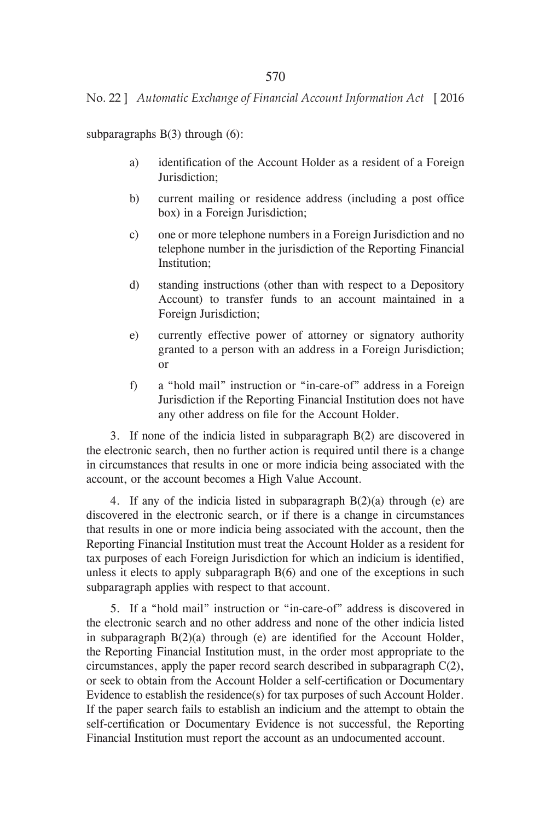subparagraphs B(3) through (6):

- a) identification of the Account Holder as a resident of a Foreign Jurisdiction;
- b) current mailing or residence address (including a post office box) in a Foreign Jurisdiction;
- c) one or more telephone numbers in a Foreign Jurisdiction and no telephone number in the jurisdiction of the Reporting Financial Institution;
- d) standing instructions (other than with respect to a Depository Account) to transfer funds to an account maintained in a Foreign Jurisdiction;
- e) currently effective power of attorney or signatory authority granted to a person with an address in a Foreign Jurisdiction; or
- f) a "hold mail" instruction or "in-care-of" address in a Foreign Jurisdiction if the Reporting Financial Institution does not have any other address on file for the Account Holder.

 3. If none of the indicia listed in subparagraph B(2) are discovered in the electronic search, then no further action is required until there is a change in circumstances that results in one or more indicia being associated with the account, or the account becomes a High Value Account.

4. If any of the indicia listed in subparagraph  $B(2)(a)$  through (e) are discovered in the electronic search, or if there is a change in circumstances that results in one or more indicia being associated with the account, then the Reporting Financial Institution must treat the Account Holder as a resident for tax purposes of each Foreign Jurisdiction for which an indicium is identified, unless it elects to apply subparagraph B(6) and one of the exceptions in such subparagraph applies with respect to that account.

 5. If a "hold mail" instruction or "in-care-of" address is discovered in the electronic search and no other address and none of the other indicia listed in subparagraph  $B(2)(a)$  through (e) are identified for the Account Holder, the Reporting Financial Institution must, in the order most appropriate to the circumstances, apply the paper record search described in subparagraph  $C(2)$ , or seek to obtain from the Account Holder a self-certification or Documentary Evidence to establish the residence(s) for tax purposes of such Account Holder. If the paper search fails to establish an indicium and the attempt to obtain the self-certification or Documentary Evidence is not successful, the Reporting Financial Institution must report the account as an undocumented account.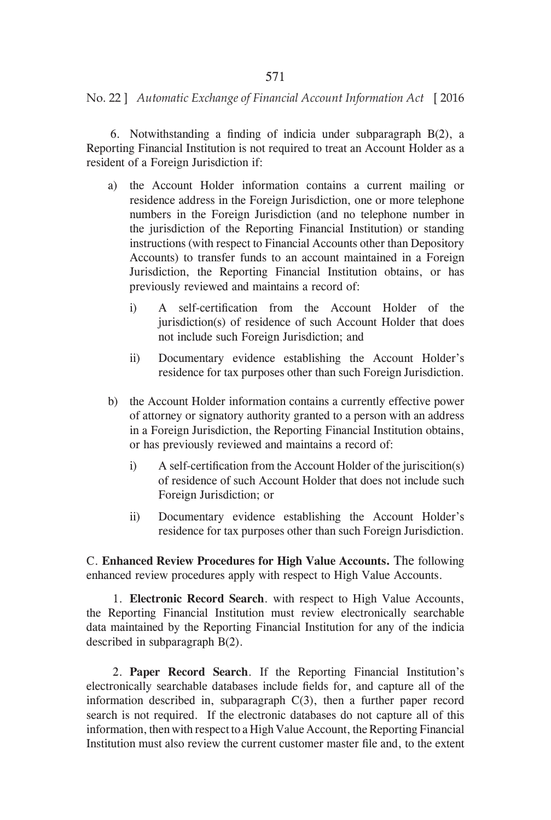6. Notwithstanding a finding of indicia under subparagraph  $B(2)$ , a Reporting Financial Institution is not required to treat an Account Holder as a resident of a Foreign Jurisdiction if:

- a) the Account Holder information contains a current mailing or residence address in the Foreign Jurisdiction, one or more telephone numbers in the Foreign Jurisdiction (and no telephone number in the jurisdiction of the Reporting Financial Institution) or standing instructions (with respect to Financial Accounts other than Depository Accounts) to transfer funds to an account maintained in a Foreign Jurisdiction, the Reporting Financial Institution obtains, or has previously reviewed and maintains a record of:
	- i) A self-certification from the Account Holder of the jurisdiction(s) of residence of such Account Holder that does not include such Foreign Jurisdiction; and
	- ii) Documentary evidence establishing the Account Holder's residence for tax purposes other than such Foreign Jurisdiction.
- b) the Account Holder information contains a currently effective power of attorney or signatory authority granted to a person with an address in a Foreign Jurisdiction, the Reporting Financial Institution obtains, or has previously reviewed and maintains a record of:
	- i) A self-certification from the Account Holder of the juriscition(s) of residence of such Account Holder that does not include such Foreign Jurisdiction; or
	- ii) Documentary evidence establishing the Account Holder's residence for tax purposes other than such Foreign Jurisdiction.

C. **Enhanced Review Procedures for High Value Accounts.** The following enhanced review procedures apply with respect to High Value Accounts.

 1. **Electronic Record Search**. with respect to High Value Accounts, the Reporting Financial Institution must review electronically searchable data maintained by the Reporting Financial Institution for any of the indicia described in subparagraph B(2).

 2. **Paper Record Search**. If the Reporting Financial Institution's electronically searchable databases include fields for, and capture all of the information described in, subparagraph C(3), then a further paper record search is not required. If the electronic databases do not capture all of this information, then with respect to a High Value Account, the Reporting Financial Institution must also review the current customer master file and, to the extent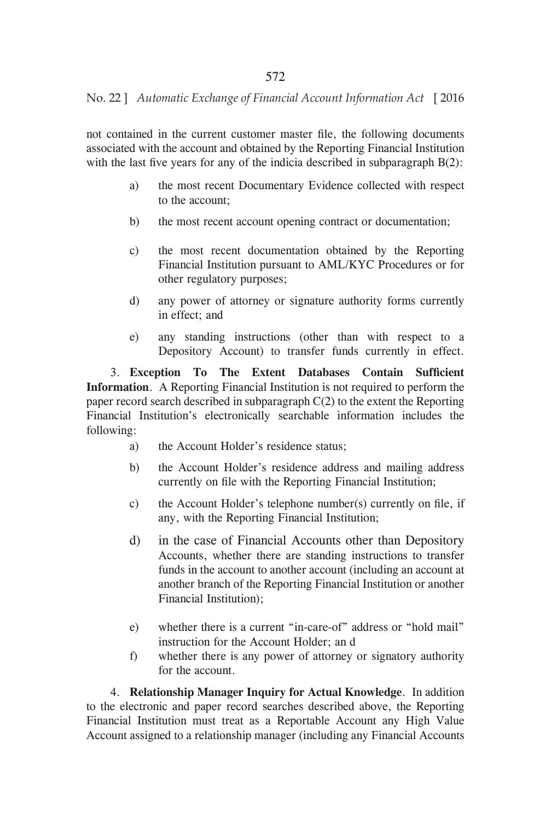not contained in the current customer master file, the following documents associated with the account and obtained by the Reporting Financial Institution with the last five years for any of the indicia described in subparagraph  $B(2)$ :

- a) the most recent Documentary Evidence collected with respect to the account;
- b) the most recent account opening contract or documentation;
- c) the most recent documentation obtained by the Reporting Financial Institution pursuant to AML/KYC Procedures or for other regulatory purposes;
- d) any power of attorney or signature authority forms currently in effect; and
- e) any standing instructions (other than with respect to a Depository Account) to transfer funds currently in effect.

 3. **Exception To The Extent Databases Contain Sufficient Information**. A Reporting Financial Institution is not required to perform the paper record search described in subparagraph C(2) to the extent the Reporting Financial Institution's electronically searchable information includes the following:

- a) the Account Holder's residence status;
- b) the Account Holder's residence address and mailing address currently on file with the Reporting Financial Institution;
- c) the Account Holder's telephone number(s) currently on file, if any, with the Reporting Financial Institution;
- d) in the case of Financial Accounts other than Depository Accounts, whether there are standing instructions to transfer funds in the account to another account (including an account at another branch of the Reporting Financial Institution or another Financial Institution);
- e) whether there is a current "in-care-of" address or "hold mail" instruction for the Account Holder; an d
- f) whether there is any power of attorney or signatory authority for the account.

 4. **Relationship Manager Inquiry for Actual Knowledge**. In addition to the electronic and paper record searches described above, the Reporting Financial Institution must treat as a Reportable Account any High Value Account assigned to a relationship manager (including any Financial Accounts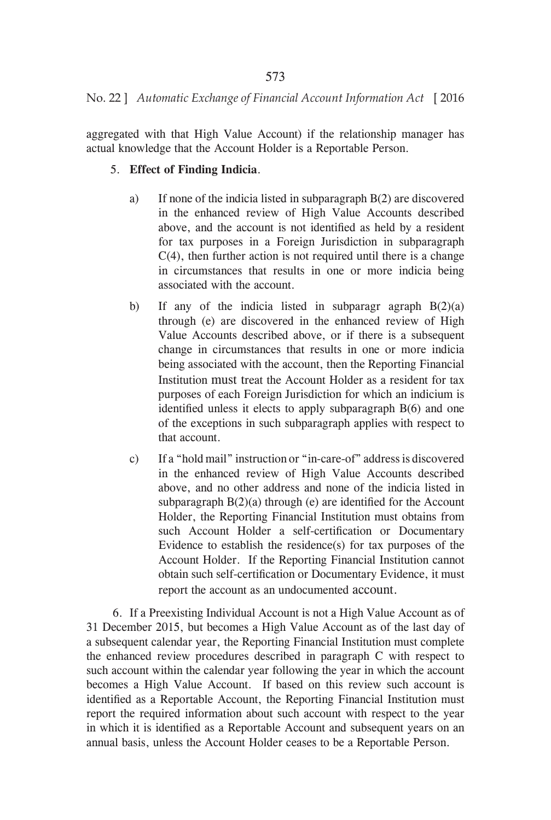aggregated with that High Value Account) if the relationship manager has actual knowledge that the Account Holder is a Reportable Person.

## 5. **Effect of Finding Indicia**.

- a) If none of the indicia listed in subparagraph B(2) are discovered in the enhanced review of High Value Accounts described above, and the account is not identified as held by a resident for tax purposes in a Foreign Jurisdiction in subparagraph  $C(4)$ , then further action is not required until there is a change in circumstances that results in one or more indicia being associated with the account.
- b) If any of the indicia listed in subparagr agraph  $B(2)(a)$ through (e) are discovered in the enhanced review of High Value Accounts described above, or if there is a subsequent change in circumstances that results in one or more indicia being associated with the account, then the Reporting Financial Institution must treat the Account Holder as a resident for tax purposes of each Foreign Jurisdiction for which an indicium is identified unless it elects to apply subparagraph B(6) and one of the exceptions in such subparagraph applies with respect to that account.
- c) If a "hold mail" instruction or "in-care-of" address is discovered in the enhanced review of High Value Accounts described above, and no other address and none of the indicia listed in subparagraph B(2)(a) through (e) are identified for the Account Holder, the Reporting Financial Institution must obtains from such Account Holder a self-certification or Documentary Evidence to establish the residence(s) for tax purposes of the Account Holder. If the Reporting Financial Institution cannot obtain such self-certification or Documentary Evidence, it must report the account as an undocumented account.

 6. If a Preexisting Individual Account is not a High Value Account as of 31 December 2015, but becomes a High Value Account as of the last day of a subsequent calendar year, the Reporting Financial Institution must complete the enhanced review procedures described in paragraph C with respect to such account within the calendar year following the year in which the account becomes a High Value Account. If based on this review such account is identified as a Reportable Account, the Reporting Financial Institution must report the required information about such account with respect to the year in which it is identified as a Reportable Account and subsequent years on an annual basis, unless the Account Holder ceases to be a Reportable Person.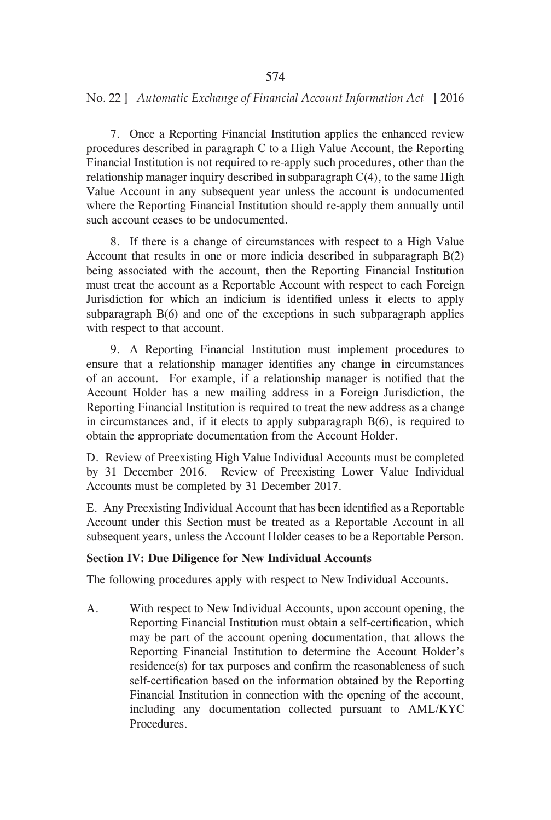7. Once a Reporting Financial Institution applies the enhanced review procedures described in paragraph C to a High Value Account, the Reporting Financial Institution is not required to re-apply such procedures, other than the relationship manager inquiry described in subparagraph C(4), to the same High Value Account in any subsequent year unless the account is undocumented where the Reporting Financial Institution should re-apply them annually until such account ceases to be undocumented.

 8. If there is a change of circumstances with respect to a High Value Account that results in one or more indicia described in subparagraph B(2) being associated with the account, then the Reporting Financial Institution must treat the account as a Reportable Account with respect to each Foreign Jurisdiction for which an indicium is identified unless it elects to apply subparagraph B(6) and one of the exceptions in such subparagraph applies with respect to that account.

 9. A Reporting Financial Institution must implement procedures to ensure that a relationship manager identifies any change in circumstances of an account. For example, if a relationship manager is notified that the Account Holder has a new mailing address in a Foreign Jurisdiction, the Reporting Financial Institution is required to treat the new address as a change in circumstances and, if it elects to apply subparagraph B(6), is required to obtain the appropriate documentation from the Account Holder.

D. Review of Preexisting High Value Individual Accounts must be completed by 31 December 2016. Review of Preexisting Lower Value Individual Accounts must be completed by 31 December 2017.

E. Any Preexisting Individual Account that has been identified as a Reportable Account under this Section must be treated as a Reportable Account in all subsequent years, unless the Account Holder ceases to be a Reportable Person.

#### **Section IV: Due Diligence for New Individual Accounts**

The following procedures apply with respect to New Individual Accounts.

A. With respect to New Individual Accounts, upon account opening, the Reporting Financial Institution must obtain a self-certification, which may be part of the account opening documentation, that allows the Reporting Financial Institution to determine the Account Holder's residence(s) for tax purposes and confirm the reasonableness of such self-certification based on the information obtained by the Reporting Financial Institution in connection with the opening of the account, including any documentation collected pursuant to AML/KYC **Procedures**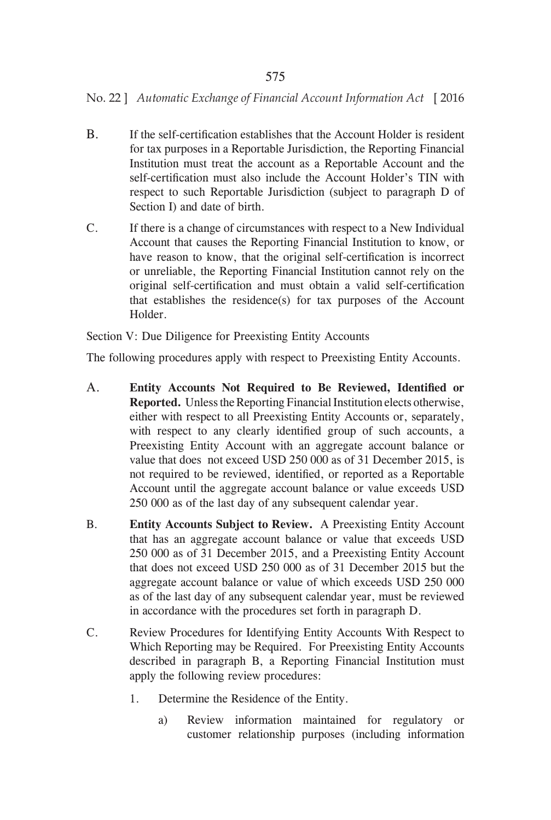- B. If the self-certification establishes that the Account Holder is resident for tax purposes in a Reportable Jurisdiction, the Reporting Financial Institution must treat the account as a Reportable Account and the self-certification must also include the Account Holder's TIN with respect to such Reportable Jurisdiction (subject to paragraph D of Section I) and date of birth.
- C. If there is a change of circumstances with respect to a New Individual Account that causes the Reporting Financial Institution to know, or have reason to know, that the original self-certification is incorrect or unreliable, the Reporting Financial Institution cannot rely on the original self-certification and must obtain a valid self-certification that establishes the residence(s) for tax purposes of the Account Holder.

Section V: Due Diligence for Preexisting Entity Accounts

The following procedures apply with respect to Preexisting Entity Accounts.

- A. **Entity Accounts Not Required to Be Reviewed, Identified or Reported.** Unless the Reporting Financial Institution elects otherwise, either with respect to all Preexisting Entity Accounts or, separately, with respect to any clearly identified group of such accounts, a Preexisting Entity Account with an aggregate account balance or value that does not exceed USD 250 000 as of 31 December 2015, is not required to be reviewed, identified, or reported as a Reportable Account until the aggregate account balance or value exceeds USD 250 000 as of the last day of any subsequent calendar year.
- B. **Entity Accounts Subject to Review.** A Preexisting Entity Account that has an aggregate account balance or value that exceeds USD 250 000 as of 31 December 2015, and a Preexisting Entity Account that does not exceed USD 250 000 as of 31 December 2015 but the aggregate account balance or value of which exceeds USD 250 000 as of the last day of any subsequent calendar year, must be reviewed in accordance with the procedures set forth in paragraph D.
- C. Review Procedures for Identifying Entity Accounts With Respect to Which Reporting may be Required. For Preexisting Entity Accounts described in paragraph B, a Reporting Financial Institution must apply the following review procedures:
	- 1. Determine the Residence of the Entity.
		- a) Review information maintained for regulatory or customer relationship purposes (including information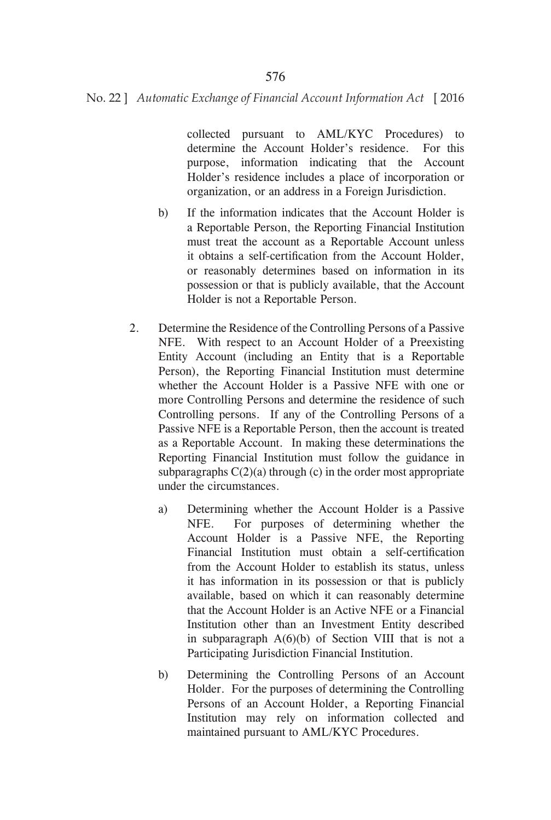collected pursuant to AML/KYC Procedures) to determine the Account Holder's residence. For this purpose, information indicating that the Account Holder's residence includes a place of incorporation or organization, or an address in a Foreign Jurisdiction.

- b) If the information indicates that the Account Holder is a Reportable Person, the Reporting Financial Institution must treat the account as a Reportable Account unless it obtains a self-certification from the Account Holder, or reasonably determines based on information in its possession or that is publicly available, that the Account Holder is not a Reportable Person.
- 2. Determine the Residence of the Controlling Persons of a Passive NFE. With respect to an Account Holder of a Preexisting Entity Account (including an Entity that is a Reportable Person), the Reporting Financial Institution must determine whether the Account Holder is a Passive NFE with one or more Controlling Persons and determine the residence of such Controlling persons. If any of the Controlling Persons of a Passive NFE is a Reportable Person, then the account is treated as a Reportable Account. In making these determinations the Reporting Financial Institution must follow the guidance in subparagraphs  $C(2)(a)$  through (c) in the order most appropriate under the circumstances.
	- a) Determining whether the Account Holder is a Passive NFE. For purposes of determining whether the Account Holder is a Passive NFE, the Reporting Financial Institution must obtain a self-certification from the Account Holder to establish its status, unless it has information in its possession or that is publicly available, based on which it can reasonably determine that the Account Holder is an Active NFE or a Financial Institution other than an Investment Entity described in subparagraph  $A(6)(b)$  of Section VIII that is not a Participating Jurisdiction Financial Institution.
	- b) Determining the Controlling Persons of an Account Holder. For the purposes of determining the Controlling Persons of an Account Holder, a Reporting Financial Institution may rely on information collected and maintained pursuant to AML/KYC Procedures.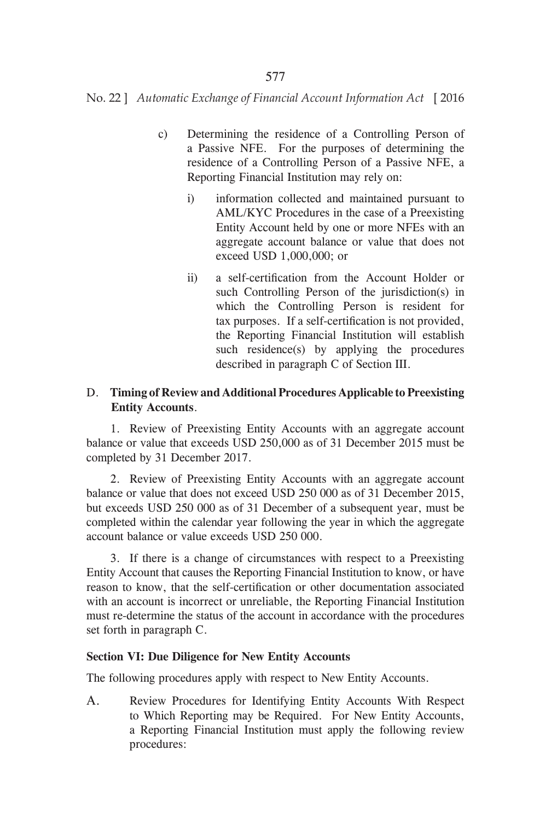- c) Determining the residence of a Controlling Person of a Passive NFE. For the purposes of determining the residence of a Controlling Person of a Passive NFE, a Reporting Financial Institution may rely on:
	- i) information collected and maintained pursuant to AML/KYC Procedures in the case of a Preexisting Entity Account held by one or more NFEs with an aggregate account balance or value that does not exceed USD 1,000,000; or
	- ii) a self-certification from the Account Holder or such Controlling Person of the jurisdiction(s) in which the Controlling Person is resident for tax purposes. If a self-certification is not provided, the Reporting Financial Institution will establish such residence(s) by applying the procedures described in paragraph C of Section III.

## D. **Timing of Review and Additional Procedures Applicable to Preexisting Entity Accounts**.

 1. Review of Preexisting Entity Accounts with an aggregate account balance or value that exceeds USD 250,000 as of 31 December 2015 must be completed by 31 December 2017.

 2. Review of Preexisting Entity Accounts with an aggregate account balance or value that does not exceed USD 250 000 as of 31 December 2015, but exceeds USD 250 000 as of 31 December of a subsequent year, must be completed within the calendar year following the year in which the aggregate account balance or value exceeds USD 250 000.

 3. If there is a change of circumstances with respect to a Preexisting Entity Account that causes the Reporting Financial Institution to know, or have reason to know, that the self-certification or other documentation associated with an account is incorrect or unreliable, the Reporting Financial Institution must re-determine the status of the account in accordance with the procedures set forth in paragraph C.

#### **Section VI: Due Diligence for New Entity Accounts**

The following procedures apply with respect to New Entity Accounts.

A. Review Procedures for Identifying Entity Accounts With Respect to Which Reporting may be Required. For New Entity Accounts, a Reporting Financial Institution must apply the following review procedures: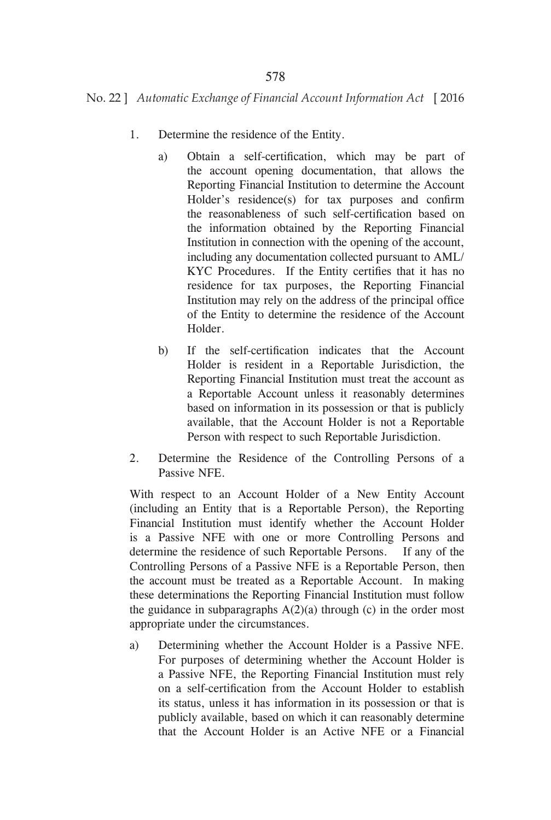- 1. Determine the residence of the Entity.
	- a) Obtain a self-certification, which may be part of the account opening documentation, that allows the Reporting Financial Institution to determine the Account Holder's residence(s) for tax purposes and confirm the reasonableness of such self-certification based on the information obtained by the Reporting Financial Institution in connection with the opening of the account, including any documentation collected pursuant to AML/ KYC Procedures. If the Entity certifies that it has no residence for tax purposes, the Reporting Financial Institution may rely on the address of the principal office of the Entity to determine the residence of the Account Holder.
	- b) If the self-certification indicates that the Account Holder is resident in a Reportable Jurisdiction, the Reporting Financial Institution must treat the account as a Reportable Account unless it reasonably determines based on information in its possession or that is publicly available, that the Account Holder is not a Reportable Person with respect to such Reportable Jurisdiction.
- 2. Determine the Residence of the Controlling Persons of a Passive NFE.

 With respect to an Account Holder of a New Entity Account (including an Entity that is a Reportable Person), the Reporting Financial Institution must identify whether the Account Holder is a Passive NFE with one or more Controlling Persons and determine the residence of such Reportable Persons. If any of the Controlling Persons of a Passive NFE is a Reportable Person, then the account must be treated as a Reportable Account. In making these determinations the Reporting Financial Institution must follow the guidance in subparagraphs  $A(2)(a)$  through (c) in the order most appropriate under the circumstances.

a) Determining whether the Account Holder is a Passive NFE. For purposes of determining whether the Account Holder is a Passive NFE, the Reporting Financial Institution must rely on a self-certification from the Account Holder to establish its status, unless it has information in its possession or that is publicly available, based on which it can reasonably determine that the Account Holder is an Active NFE or a Financial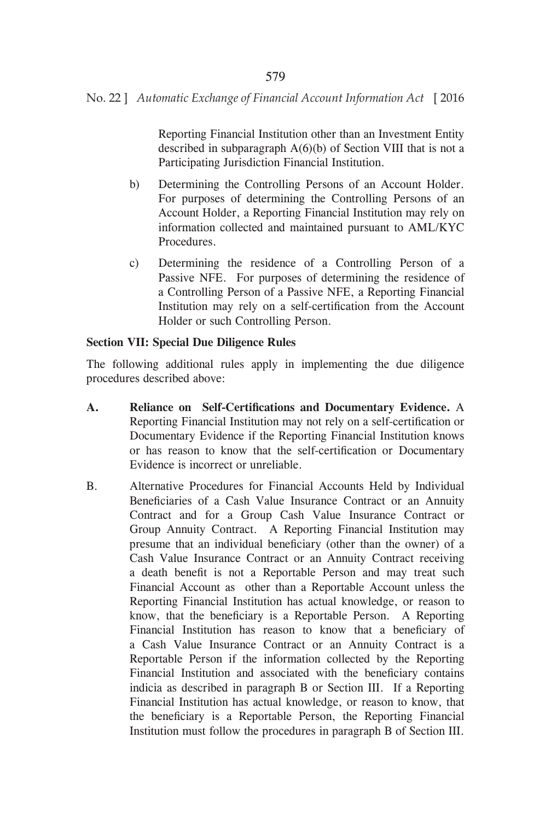Reporting Financial Institution other than an Investment Entity described in subparagraph  $A(6)(b)$  of Section VIII that is not a Participating Jurisdiction Financial Institution.

- b) Determining the Controlling Persons of an Account Holder. For purposes of determining the Controlling Persons of an Account Holder, a Reporting Financial Institution may rely on information collected and maintained pursuant to AML/KYC **Procedures**
- c) Determining the residence of a Controlling Person of a Passive NFE. For purposes of determining the residence of a Controlling Person of a Passive NFE, a Reporting Financial Institution may rely on a self-certification from the Account Holder or such Controlling Person.

## **Section VII: Special Due Diligence Rules**

The following additional rules apply in implementing the due diligence procedures described above:

- **A. Reliance on Self-Certifications and Documentary Evidence.** A Reporting Financial Institution may not rely on a self-certification or Documentary Evidence if the Reporting Financial Institution knows or has reason to know that the self-certification or Documentary Evidence is incorrect or unreliable.
- B. Alternative Procedures for Financial Accounts Held by Individual Beneficiaries of a Cash Value Insurance Contract or an Annuity Contract and for a Group Cash Value Insurance Contract or Group Annuity Contract. A Reporting Financial Institution may presume that an individual beneficiary (other than the owner) of a Cash Value Insurance Contract or an Annuity Contract receiving a death benefit is not a Reportable Person and may treat such Financial Account as other than a Reportable Account unless the Reporting Financial Institution has actual knowledge, or reason to know, that the beneficiary is a Reportable Person. A Reporting Financial Institution has reason to know that a beneficiary of a Cash Value Insurance Contract or an Annuity Contract is a Reportable Person if the information collected by the Reporting Financial Institution and associated with the beneficiary contains indicia as described in paragraph B or Section III. If a Reporting Financial Institution has actual knowledge, or reason to know, that the beneficiary is a Reportable Person, the Reporting Financial Institution must follow the procedures in paragraph B of Section III.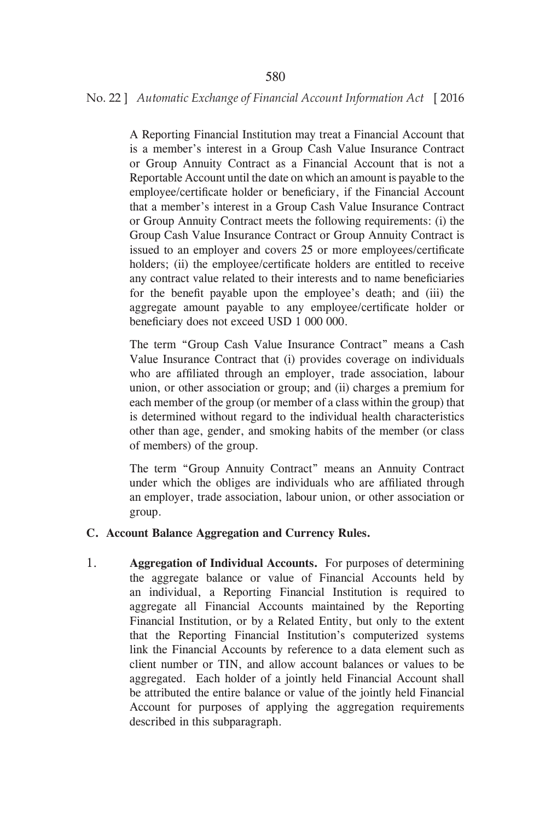A Reporting Financial Institution may treat a Financial Account that is a member's interest in a Group Cash Value Insurance Contract or Group Annuity Contract as a Financial Account that is not a Reportable Account until the date on which an amount is payable to the employee/certificate holder or beneficiary, if the Financial Account that a member's interest in a Group Cash Value Insurance Contract or Group Annuity Contract meets the following requirements: (i) the Group Cash Value Insurance Contract or Group Annuity Contract is issued to an employer and covers 25 or more employees/certificate holders; (ii) the employee/certificate holders are entitled to receive any contract value related to their interests and to name beneficiaries for the benefit payable upon the employee's death; and (iii) the aggregate amount payable to any employee/certificate holder or beneficiary does not exceed USD 1 000 000.

 The term "Group Cash Value Insurance Contract" means a Cash Value Insurance Contract that (i) provides coverage on individuals who are affiliated through an employer, trade association, labour union, or other association or group; and (ii) charges a premium for each member of the group (or member of a class within the group) that is determined without regard to the individual health characteristics other than age, gender, and smoking habits of the member (or class of members) of the group.

 The term "Group Annuity Contract" means an Annuity Contract under which the obliges are individuals who are affiliated through an employer, trade association, labour union, or other association or group.

#### **C. Account Balance Aggregation and Currency Rules.**

1. **Aggregation of Individual Accounts.** For purposes of determining the aggregate balance or value of Financial Accounts held by an individual, a Reporting Financial Institution is required to aggregate all Financial Accounts maintained by the Reporting Financial Institution, or by a Related Entity, but only to the extent that the Reporting Financial Institution's computerized systems link the Financial Accounts by reference to a data element such as client number or TIN, and allow account balances or values to be aggregated. Each holder of a jointly held Financial Account shall be attributed the entire balance or value of the jointly held Financial Account for purposes of applying the aggregation requirements described in this subparagraph.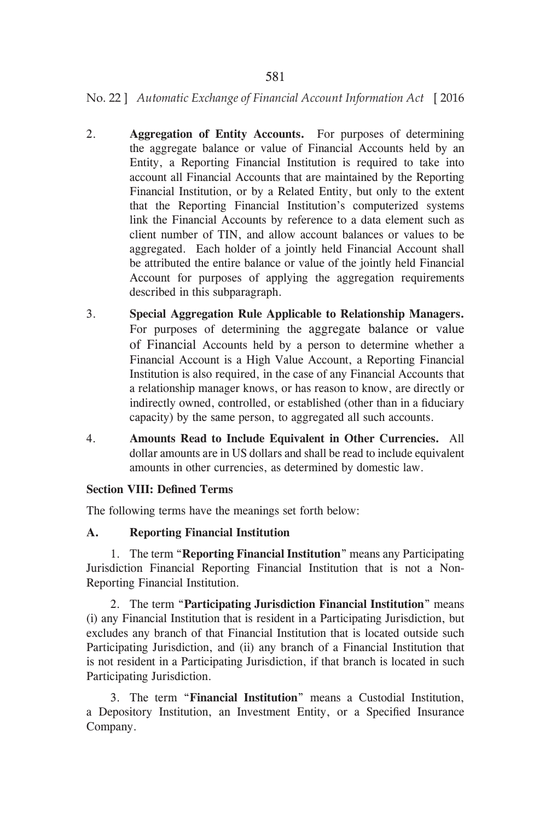- 2. **Aggregation of Entity Accounts.** For purposes of determining the aggregate balance or value of Financial Accounts held by an Entity, a Reporting Financial Institution is required to take into account all Financial Accounts that are maintained by the Reporting Financial Institution, or by a Related Entity, but only to the extent that the Reporting Financial Institution's computerized systems link the Financial Accounts by reference to a data element such as client number of TIN, and allow account balances or values to be aggregated. Each holder of a jointly held Financial Account shall be attributed the entire balance or value of the jointly held Financial Account for purposes of applying the aggregation requirements described in this subparagraph.
- 3. **Special Aggregation Rule Applicable to Relationship Managers.**  For purposes of determining the aggregate balance or value of Financial Accounts held by a person to determine whether a Financial Account is a High Value Account, a Reporting Financial Institution is also required, in the case of any Financial Accounts that a relationship manager knows, or has reason to know, are directly or indirectly owned, controlled, or established (other than in a fiduciary capacity) by the same person, to aggregated all such accounts.
- 4. **Amounts Read to Include Equivalent in Other Currencies.** All dollar amounts are in US dollars and shall be read to include equivalent amounts in other currencies, as determined by domestic law.

## **Section VIII: Defined Terms**

The following terms have the meanings set forth below:

**A. Reporting Financial Institution**

 1. The term "**Reporting Financial Institution**" means any Participating Jurisdiction Financial Reporting Financial Institution that is not a Non-Reporting Financial Institution.

 2. The term "**Participating Jurisdiction Financial Institution**" means (i) any Financial Institution that is resident in a Participating Jurisdiction, but excludes any branch of that Financial Institution that is located outside such Participating Jurisdiction, and (ii) any branch of a Financial Institution that is not resident in a Participating Jurisdiction, if that branch is located in such Participating Jurisdiction.

 3. The term "**Financial Institution**" means a Custodial Institution, a Depository Institution, an Investment Entity, or a Specified Insurance Company.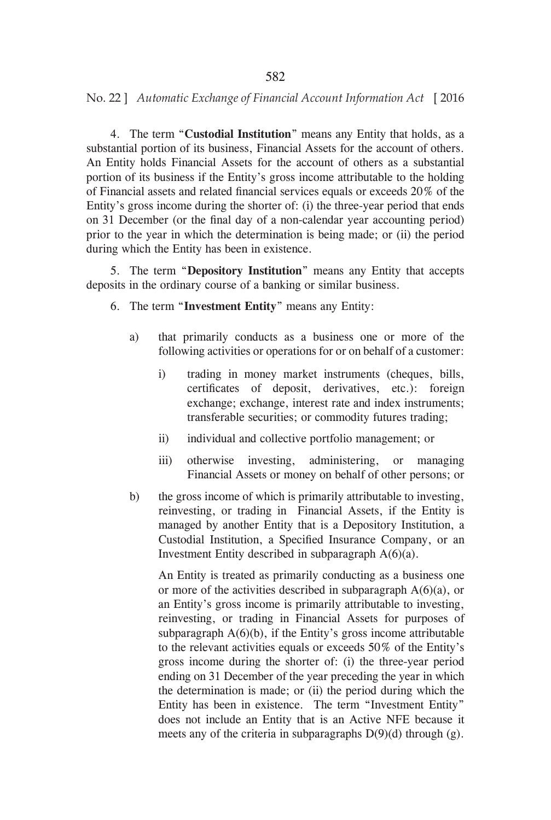4. The term "**Custodial Institution**" means any Entity that holds, as a substantial portion of its business, Financial Assets for the account of others. An Entity holds Financial Assets for the account of others as a substantial portion of its business if the Entity's gross income attributable to the holding of Financial assets and related financial services equals or exceeds 20% of the Entity's gross income during the shorter of: (i) the three-year period that ends on 31 December (or the final day of a non-calendar year accounting period) prior to the year in which the determination is being made; or (ii) the period during which the Entity has been in existence.

 5. The term "**Depository Institution**" means any Entity that accepts deposits in the ordinary course of a banking or similar business.

- 6. The term "**Investment Entity**" means any Entity:
	- a) that primarily conducts as a business one or more of the following activities or operations for or on behalf of a customer:
		- i) trading in money market instruments (cheques, bills, certificates of deposit, derivatives, etc.): foreign exchange; exchange, interest rate and index instruments; transferable securities; or commodity futures trading;
		- ii) individual and collective portfolio management; or
		- iii) otherwise investing, administering, or managing Financial Assets or money on behalf of other persons; or
	- b) the gross income of which is primarily attributable to investing, reinvesting, or trading in Financial Assets, if the Entity is managed by another Entity that is a Depository Institution, a Custodial Institution, a Specified Insurance Company, or an Investment Entity described in subparagraph  $A(6)(a)$ .

 An Entity is treated as primarily conducting as a business one or more of the activities described in subparagraph  $A(6)(a)$ , or an Entity's gross income is primarily attributable to investing, reinvesting, or trading in Financial Assets for purposes of subparagraph A(6)(b), if the Entity's gross income attributable to the relevant activities equals or exceeds 50% of the Entity's gross income during the shorter of: (i) the three-year period ending on 31 December of the year preceding the year in which the determination is made; or (ii) the period during which the Entity has been in existence. The term "Investment Entity" does not include an Entity that is an Active NFE because it meets any of the criteria in subparagraphs  $D(9)(d)$  through (g).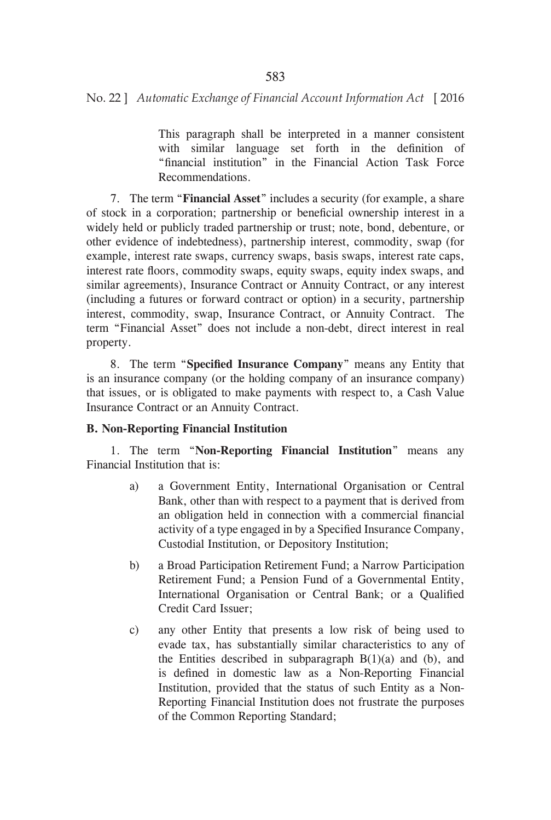This paragraph shall be interpreted in a manner consistent with similar language set forth in the definition of "financial institution" in the Financial Action Task Force Recommendations.

 7. The term "**Financial Asset**" includes a security (for example, a share of stock in a corporation; partnership or beneficial ownership interest in a widely held or publicly traded partnership or trust; note, bond, debenture, or other evidence of indebtedness), partnership interest, commodity, swap (for example, interest rate swaps, currency swaps, basis swaps, interest rate caps, interest rate floors, commodity swaps, equity swaps, equity index swaps, and similar agreements), Insurance Contract or Annuity Contract, or any interest (including a futures or forward contract or option) in a security, partnership interest, commodity, swap, Insurance Contract, or Annuity Contract. The term "Financial Asset" does not include a non-debt, direct interest in real property.

 8. The term "**Specified Insurance Company**" means any Entity that is an insurance company (or the holding company of an insurance company) that issues, or is obligated to make payments with respect to, a Cash Value Insurance Contract or an Annuity Contract.

#### **B. Non-Reporting Financial Institution**

 1. The term "**Non-Reporting Financial Institution**" means any Financial Institution that is:

- a) a Government Entity, International Organisation or Central Bank, other than with respect to a payment that is derived from an obligation held in connection with a commercial financial activity of a type engaged in by a Specified Insurance Company, Custodial Institution, or Depository Institution;
- b) a Broad Participation Retirement Fund; a Narrow Participation Retirement Fund; a Pension Fund of a Governmental Entity, International Organisation or Central Bank; or a Qualified Credit Card Issuer;
- c) any other Entity that presents a low risk of being used to evade tax, has substantially similar characteristics to any of the Entities described in subparagraph  $B(1)(a)$  and (b), and is defined in domestic law as a Non-Reporting Financial Institution, provided that the status of such Entity as a Non-Reporting Financial Institution does not frustrate the purposes of the Common Reporting Standard;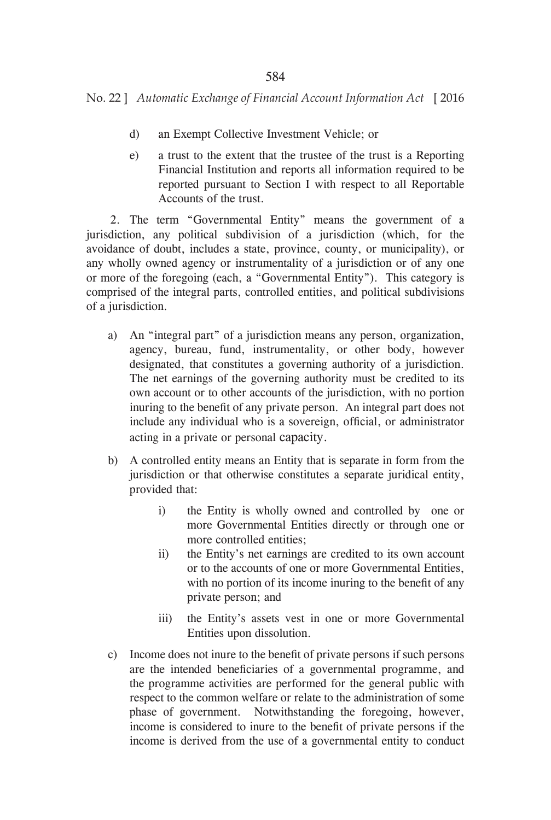- d) an Exempt Collective Investment Vehicle; or
- e) a trust to the extent that the trustee of the trust is a Reporting Financial Institution and reports all information required to be reported pursuant to Section I with respect to all Reportable Accounts of the trust.

 2. The term "Governmental Entity" means the government of a jurisdiction, any political subdivision of a jurisdiction (which, for the avoidance of doubt, includes a state, province, county, or municipality), or any wholly owned agency or instrumentality of a jurisdiction or of any one or more of the foregoing (each, a "Governmental Entity"). This category is comprised of the integral parts, controlled entities, and political subdivisions of a jurisdiction.

- a) An "integral part" of a jurisdiction means any person, organization, agency, bureau, fund, instrumentality, or other body, however designated, that constitutes a governing authority of a jurisdiction. The net earnings of the governing authority must be credited to its own account or to other accounts of the jurisdiction, with no portion inuring to the benefit of any private person. An integral part does not include any individual who is a sovereign, official, or administrator acting in a private or personal capacity.
- b) A controlled entity means an Entity that is separate in form from the jurisdiction or that otherwise constitutes a separate juridical entity, provided that:
	- i) the Entity is wholly owned and controlled by one or more Governmental Entities directly or through one or more controlled entities;
	- ii) the Entity's net earnings are credited to its own account or to the accounts of one or more Governmental Entities, with no portion of its income inuring to the benefit of any private person; and
	- iii) the Entity's assets vest in one or more Governmental Entities upon dissolution.
- c) Income does not inure to the benefit of private persons if such persons are the intended beneficiaries of a governmental programme, and the programme activities are performed for the general public with respect to the common welfare or relate to the administration of some phase of government. Notwithstanding the foregoing, however, income is considered to inure to the benefit of private persons if the income is derived from the use of a governmental entity to conduct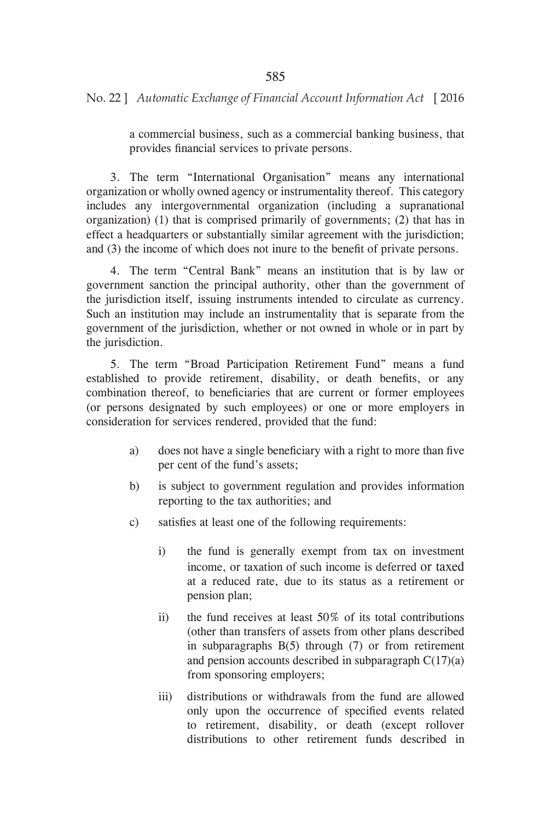a commercial business, such as a commercial banking business, that provides financial services to private persons.

 3. The term "International Organisation" means any international organization or wholly owned agency or instrumentality thereof. This category includes any intergovernmental organization (including a supranational organization) (1) that is comprised primarily of governments; (2) that has in effect a headquarters or substantially similar agreement with the jurisdiction; and (3) the income of which does not inure to the benefit of private persons.

 4. The term "Central Bank" means an institution that is by law or government sanction the principal authority, other than the government of the jurisdiction itself, issuing instruments intended to circulate as currency. Such an institution may include an instrumentality that is separate from the government of the jurisdiction, whether or not owned in whole or in part by the jurisdiction.

 5. The term "Broad Participation Retirement Fund" means a fund established to provide retirement, disability, or death benefits, or any combination thereof, to beneficiaries that are current or former employees (or persons designated by such employees) or one or more employers in consideration for services rendered, provided that the fund:

- a) does not have a single beneficiary with a right to more than five per cent of the fund's assets;
- b) is subject to government regulation and provides information reporting to the tax authorities; and
- c) satisfies at least one of the following requirements:
	- i) the fund is generally exempt from tax on investment income, or taxation of such income is deferred or taxed at a reduced rate, due to its status as a retirement or pension plan;
	- ii) the fund receives at least  $50\%$  of its total contributions (other than transfers of assets from other plans described in subparagraphs B(5) through (7) or from retirement and pension accounts described in subparagraph  $C(17)(a)$ from sponsoring employers;
	- iii) distributions or withdrawals from the fund are allowed only upon the occurrence of specified events related to retirement, disability, or death (except rollover distributions to other retirement funds described in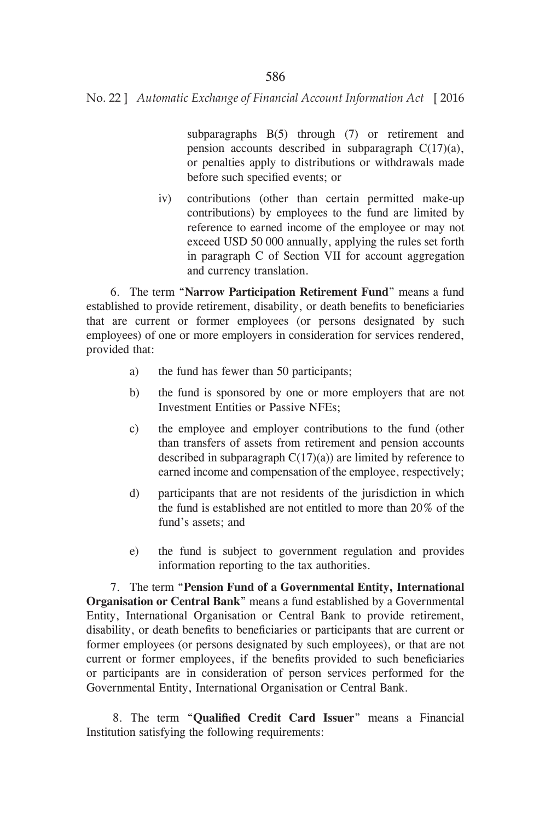subparagraphs B(5) through (7) or retirement and pension accounts described in subparagraph  $C(17)(a)$ , or penalties apply to distributions or withdrawals made before such specified events; or

iv) contributions (other than certain permitted make-up contributions) by employees to the fund are limited by reference to earned income of the employee or may not exceed USD 50 000 annually, applying the rules set forth in paragraph C of Section VII for account aggregation and currency translation.

 6. The term "**Narrow Participation Retirement Fund**" means a fund established to provide retirement, disability, or death benefits to beneficiaries that are current or former employees (or persons designated by such employees) of one or more employers in consideration for services rendered, provided that:

- a) the fund has fewer than 50 participants;
- b) the fund is sponsored by one or more employers that are not Investment Entities or Passive NFEs;
- c) the employee and employer contributions to the fund (other than transfers of assets from retirement and pension accounts described in subparagraph  $C(17)(a)$  are limited by reference to earned income and compensation of the employee, respectively;
- d) participants that are not residents of the jurisdiction in which the fund is established are not entitled to more than 20% of the fund's assets; and
- e) the fund is subject to government regulation and provides information reporting to the tax authorities.

 7. The term "**Pension Fund of a Governmental Entity, International Organisation or Central Bank**" means a fund established by a Governmental Entity, International Organisation or Central Bank to provide retirement, disability, or death benefits to beneficiaries or participants that are current or former employees (or persons designated by such employees), or that are not current or former employees, if the benefits provided to such beneficiaries or participants are in consideration of person services performed for the Governmental Entity, International Organisation or Central Bank.

 8. The term "**Qualified Credit Card Issuer**" means a Financial Institution satisfying the following requirements: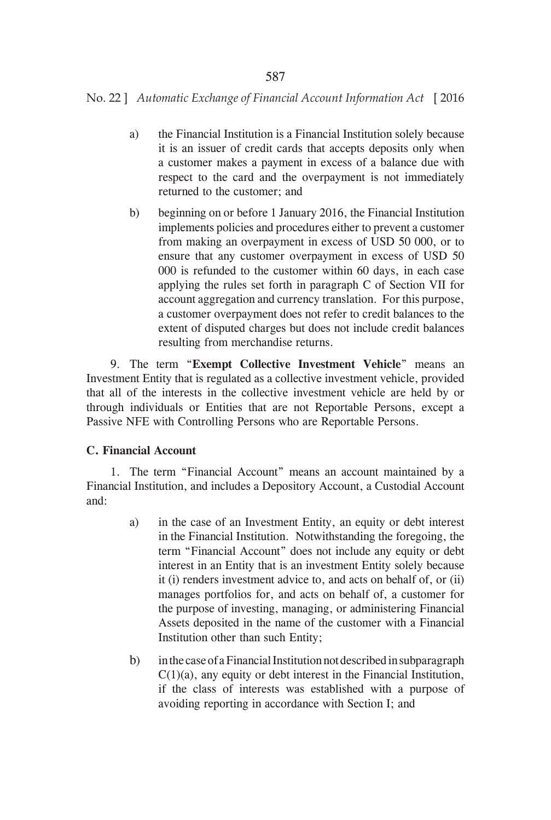- a) the Financial Institution is a Financial Institution solely because it is an issuer of credit cards that accepts deposits only when a customer makes a payment in excess of a balance due with respect to the card and the overpayment is not immediately returned to the customer; and
- b) beginning on or before 1 January 2016, the Financial Institution implements policies and procedures either to prevent a customer from making an overpayment in excess of USD 50 000, or to ensure that any customer overpayment in excess of USD 50 000 is refunded to the customer within 60 days, in each case applying the rules set forth in paragraph C of Section VII for account aggregation and currency translation. For this purpose, a customer overpayment does not refer to credit balances to the extent of disputed charges but does not include credit balances resulting from merchandise returns.

 9. The term "**Exempt Collective Investment Vehicle**" means an Investment Entity that is regulated as a collective investment vehicle, provided that all of the interests in the collective investment vehicle are held by or through individuals or Entities that are not Reportable Persons, except a Passive NFE with Controlling Persons who are Reportable Persons.

## **C. Financial Account**

 1. The term "Financial Account" means an account maintained by a Financial Institution, and includes a Depository Account, a Custodial Account and:

- a) in the case of an Investment Entity, an equity or debt interest in the Financial Institution. Notwithstanding the foregoing, the term "Financial Account" does not include any equity or debt interest in an Entity that is an investment Entity solely because it (i) renders investment advice to, and acts on behalf of, or (ii) manages portfolios for, and acts on behalf of, a customer for the purpose of investing, managing, or administering Financial Assets deposited in the name of the customer with a Financial Institution other than such Entity;
- b) in the case of a Financial Institution not described in subparagraph  $C(1)(a)$ , any equity or debt interest in the Financial Institution, if the class of interests was established with a purpose of avoiding reporting in accordance with Section I; and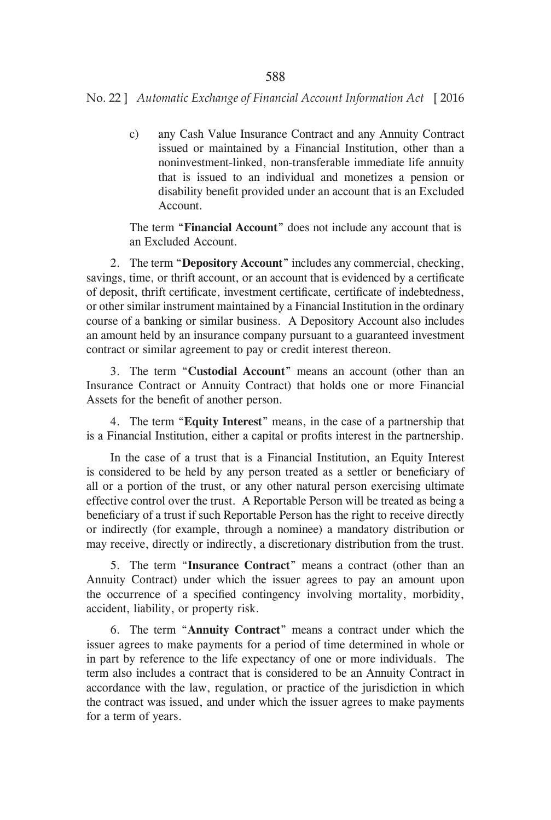c) any Cash Value Insurance Contract and any Annuity Contract issued or maintained by a Financial Institution, other than a noninvestment-linked, non-transferable immediate life annuity that is issued to an individual and monetizes a pension or disability benefit provided under an account that is an Excluded Account.

The term "**Financial Account**" does not include any account that is an Excluded Account.

 2. The term "**Depository Account**" includes any commercial, checking, savings, time, or thrift account, or an account that is evidenced by a certificate of deposit, thrift certificate, investment certificate, certificate of indebtedness, or other similar instrument maintained by a Financial Institution in the ordinary course of a banking or similar business. A Depository Account also includes an amount held by an insurance company pursuant to a guaranteed investment contract or similar agreement to pay or credit interest thereon.

 3. The term "**Custodial Account**" means an account (other than an Insurance Contract or Annuity Contract) that holds one or more Financial Assets for the benefit of another person.

 4. The term "**Equity Interest**" means, in the case of a partnership that is a Financial Institution, either a capital or profits interest in the partnership.

 In the case of a trust that is a Financial Institution, an Equity Interest is considered to be held by any person treated as a settler or beneficiary of all or a portion of the trust, or any other natural person exercising ultimate effective control over the trust. A Reportable Person will be treated as being a beneficiary of a trust if such Reportable Person has the right to receive directly or indirectly (for example, through a nominee) a mandatory distribution or may receive, directly or indirectly, a discretionary distribution from the trust.

 5. The term "**Insurance Contract**" means a contract (other than an Annuity Contract) under which the issuer agrees to pay an amount upon the occurrence of a specified contingency involving mortality, morbidity, accident, liability, or property risk.

 6. The term "**Annuity Contract**" means a contract under which the issuer agrees to make payments for a period of time determined in whole or in part by reference to the life expectancy of one or more individuals. The term also includes a contract that is considered to be an Annuity Contract in accordance with the law, regulation, or practice of the jurisdiction in which the contract was issued, and under which the issuer agrees to make payments for a term of years.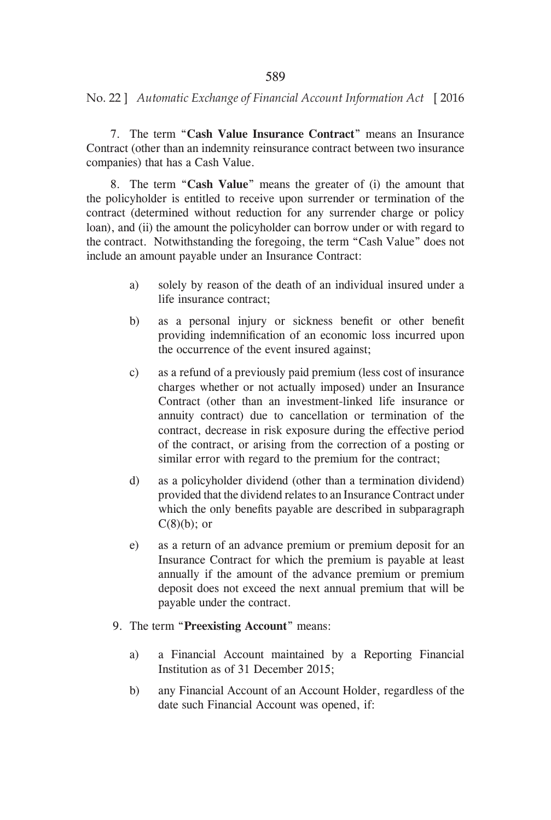7. The term "**Cash Value Insurance Contract**" means an Insurance Contract (other than an indemnity reinsurance contract between two insurance companies) that has a Cash Value.

 8. The term "**Cash Value**" means the greater of (i) the amount that the policyholder is entitled to receive upon surrender or termination of the contract (determined without reduction for any surrender charge or policy loan), and (ii) the amount the policyholder can borrow under or with regard to the contract. Notwithstanding the foregoing, the term "Cash Value" does not include an amount payable under an Insurance Contract:

- a) solely by reason of the death of an individual insured under a life insurance contract;
- b) as a personal injury or sickness benefit or other benefit providing indemnification of an economic loss incurred upon the occurrence of the event insured against;
- c) as a refund of a previously paid premium (less cost of insurance charges whether or not actually imposed) under an Insurance Contract (other than an investment-linked life insurance or annuity contract) due to cancellation or termination of the contract, decrease in risk exposure during the effective period of the contract, or arising from the correction of a posting or similar error with regard to the premium for the contract;
- d) as a policyholder dividend (other than a termination dividend) provided that the dividend relates to an Insurance Contract under which the only benefits payable are described in subparagraph  $C(8)(b)$ ; or
- e) as a return of an advance premium or premium deposit for an Insurance Contract for which the premium is payable at least annually if the amount of the advance premium or premium deposit does not exceed the next annual premium that will be payable under the contract.
- 9. The term "**Preexisting Account**" means:
	- a) a Financial Account maintained by a Reporting Financial Institution as of 31 December 2015;
	- b) any Financial Account of an Account Holder, regardless of the date such Financial Account was opened, if: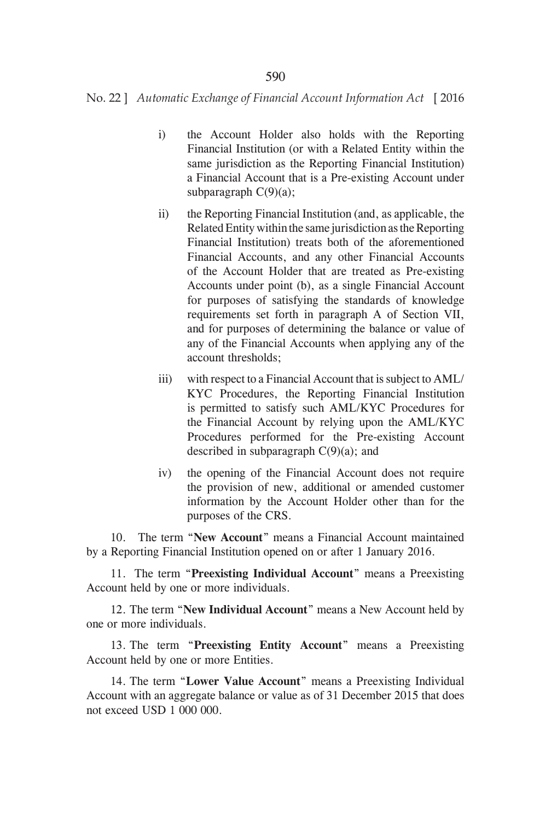- i) the Account Holder also holds with the Reporting Financial Institution (or with a Related Entity within the same jurisdiction as the Reporting Financial Institution) a Financial Account that is a Pre-existing Account under subparagraph  $C(9)(a)$ ;
- ii) the Reporting Financial Institution (and, as applicable, the Related Entity within the same jurisdiction as the Reporting Financial Institution) treats both of the aforementioned Financial Accounts, and any other Financial Accounts of the Account Holder that are treated as Pre-existing Accounts under point (b), as a single Financial Account for purposes of satisfying the standards of knowledge requirements set forth in paragraph A of Section VII, and for purposes of determining the balance or value of any of the Financial Accounts when applying any of the account thresholds;
- iii) with respect to a Financial Account that is subject to AML/ KYC Procedures, the Reporting Financial Institution is permitted to satisfy such AML/KYC Procedures for the Financial Account by relying upon the AML/KYC Procedures performed for the Pre-existing Account described in subparagraph  $C(9)(a)$ ; and
- iv) the opening of the Financial Account does not require the provision of new, additional or amended customer information by the Account Holder other than for the purposes of the CRS.

 10. The term "**New Account**" means a Financial Account maintained by a Reporting Financial Institution opened on or after 1 January 2016.

 11. The term "**Preexisting Individual Account**" means a Preexisting Account held by one or more individuals.

 12. The term "**New Individual Account**" means a New Account held by one or more individuals.

 13. The term "**Preexisting Entity Account**" means a Preexisting Account held by one or more Entities.

 14. The term "**Lower Value Account**" means a Preexisting Individual Account with an aggregate balance or value as of 31 December 2015 that does not exceed USD 1 000 000.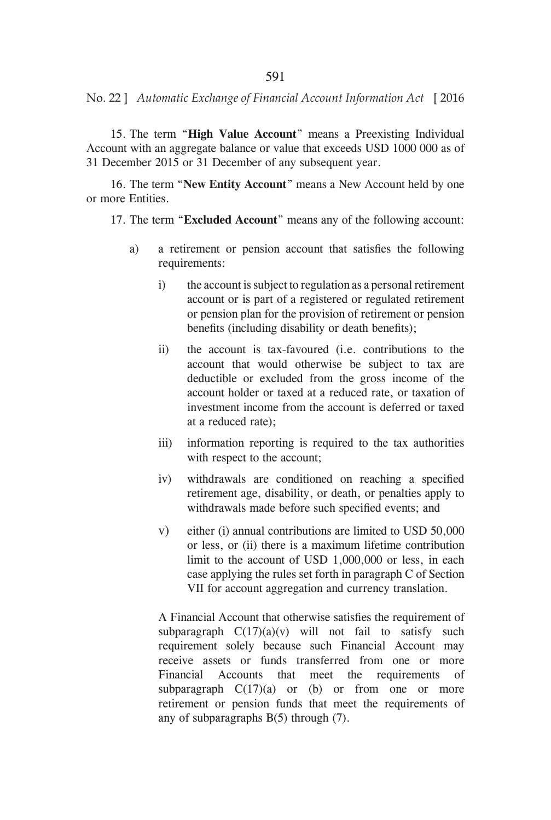15. The term "**High Value Account**" means a Preexisting Individual Account with an aggregate balance or value that exceeds USD 1000 000 as of 31 December 2015 or 31 December of any subsequent year.

 16. The term "**New Entity Account**" means a New Account held by one or more Entities.

17. The term "**Excluded Account**" means any of the following account:

- a) a retirement or pension account that satisfies the following requirements:
	- i) the account is subject to regulation as a personal retirement account or is part of a registered or regulated retirement or pension plan for the provision of retirement or pension benefits (including disability or death benefits);
	- ii) the account is tax-favoured (i.e. contributions to the account that would otherwise be subject to tax are deductible or excluded from the gross income of the account holder or taxed at a reduced rate, or taxation of investment income from the account is deferred or taxed at a reduced rate);
	- iii) information reporting is required to the tax authorities with respect to the account;
	- iv) withdrawals are conditioned on reaching a specified retirement age, disability, or death, or penalties apply to withdrawals made before such specified events; and
	- v) either (i) annual contributions are limited to USD 50,000 or less, or (ii) there is a maximum lifetime contribution limit to the account of USD 1,000,000 or less, in each case applying the rules set forth in paragraph C of Section VII for account aggregation and currency translation.

A Financial Account that otherwise satisfies the requirement of subparagraph  $C(17)(a)(v)$  will not fail to satisfy such requirement solely because such Financial Account may receive assets or funds transferred from one or more Financial Accounts that meet the requirements of subparagraph  $C(17)(a)$  or (b) or from one or more retirement or pension funds that meet the requirements of any of subparagraphs B(5) through (7).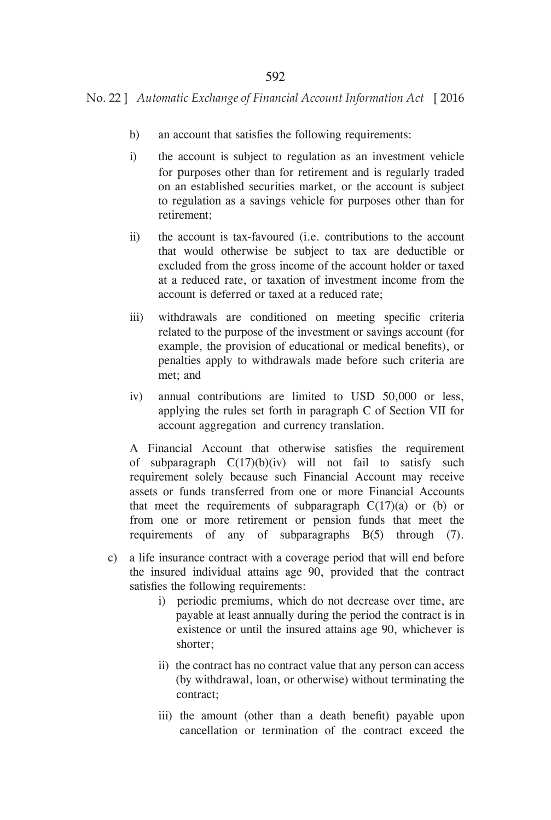- b) an account that satisfies the following requirements:
- i) the account is subject to regulation as an investment vehicle for purposes other than for retirement and is regularly traded on an established securities market, or the account is subject to regulation as a savings vehicle for purposes other than for retirement;
- ii) the account is tax-favoured (i.e. contributions to the account that would otherwise be subject to tax are deductible or excluded from the gross income of the account holder or taxed at a reduced rate, or taxation of investment income from the account is deferred or taxed at a reduced rate;
- iii) withdrawals are conditioned on meeting specific criteria related to the purpose of the investment or savings account (for example, the provision of educational or medical benefits), or penalties apply to withdrawals made before such criteria are met; and
- iv) annual contributions are limited to USD 50,000 or less, applying the rules set forth in paragraph C of Section VII for account aggregation and currency translation.

A Financial Account that otherwise satisfies the requirement of subparagraph  $C(17)(b)(iv)$  will not fail to satisfy such requirement solely because such Financial Account may receive assets or funds transferred from one or more Financial Accounts that meet the requirements of subparagraph  $C(17)(a)$  or (b) or from one or more retirement or pension funds that meet the requirements of any of subparagraphs B(5) through (7).

- c) a life insurance contract with a coverage period that will end before the insured individual attains age 90, provided that the contract satisfies the following requirements:
	- i) periodic premiums, which do not decrease over time, are payable at least annually during the period the contract is in existence or until the insured attains age 90, whichever is shorter;
	- ii) the contract has no contract value that any person can access (by withdrawal, loan, or otherwise) without terminating the contract;
	- iii) the amount (other than a death benefit) payable upon cancellation or termination of the contract exceed the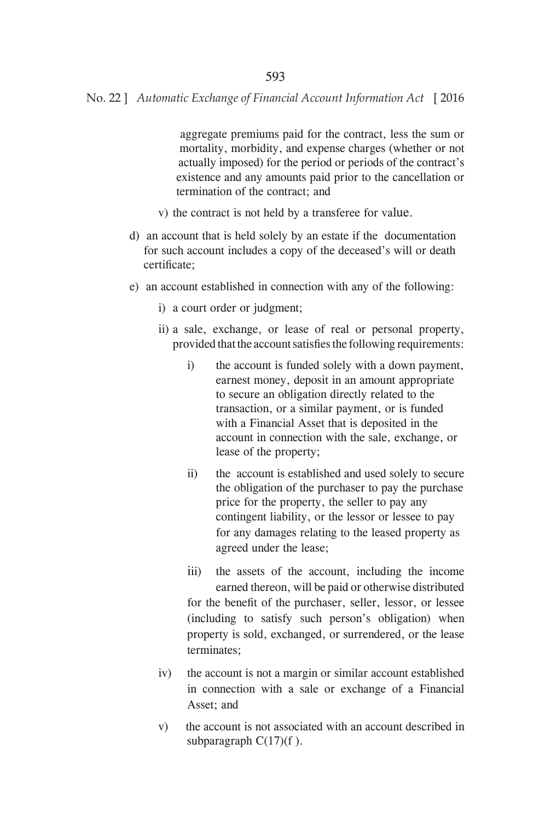aggregate premiums paid for the contract, less the sum or mortality, morbidity, and expense charges (whether or not actually imposed) for the period or periods of the contract's existence and any amounts paid prior to the cancellation or termination of the contract; and

- v) the contract is not held by a transferee for value.
- d) an account that is held solely by an estate if the documentation for such account includes a copy of the deceased's will or death certificate;
- e) an account established in connection with any of the following:
	- i) a court order or judgment;
	- ii) a sale, exchange, or lease of real or personal property, provided that the account satisfies the following requirements:
		- i) the account is funded solely with a down payment, earnest money, deposit in an amount appropriate to secure an obligation directly related to the transaction, or a similar payment, or is funded with a Financial Asset that is deposited in the account in connection with the sale, exchange, or lease of the property;
		- ii) the account is established and used solely to secure the obligation of the purchaser to pay the purchase price for the property, the seller to pay any contingent liability, or the lessor or lessee to pay for any damages relating to the leased property as agreed under the lease;
		- iii) the assets of the account, including the income earned thereon, will be paid or otherwise distributed for the benefit of the purchaser, seller, lessor, or lessee (including to satisfy such person's obligation) when property is sold, exchanged, or surrendered, or the lease terminates;
	- iv) the account is not a margin or similar account established in connection with a sale or exchange of a Financial Asset; and
	- v) the account is not associated with an account described in subparagraph  $C(17)(f)$ .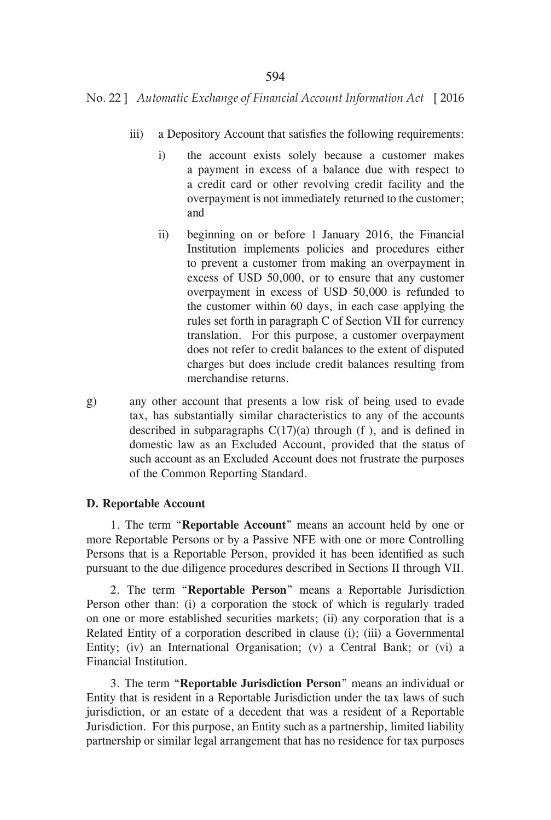- iii) a Depository Account that satisfies the following requirements:
	- i) the account exists solely because a customer makes a payment in excess of a balance due with respect to a credit card or other revolving credit facility and the overpayment is not immediately returned to the customer; and
	- ii) beginning on or before 1 January 2016, the Financial Institution implements policies and procedures either to prevent a customer from making an overpayment in excess of USD 50,000, or to ensure that any customer overpayment in excess of USD 50,000 is refunded to the customer within 60 days, in each case applying the rules set forth in paragraph C of Section VII for currency translation. For this purpose, a customer overpayment does not refer to credit balances to the extent of disputed charges but does include credit balances resulting from merchandise returns.
- g) any other account that presents a low risk of being used to evade tax, has substantially similar characteristics to any of the accounts described in subparagraphs  $C(17)(a)$  through (f), and is defined in domestic law as an Excluded Account, provided that the status of such account as an Excluded Account does not frustrate the purposes of the Common Reporting Standard.

#### **D. Reportable Account**

 1. The term "**Reportable Account**" means an account held by one or more Reportable Persons or by a Passive NFE with one or more Controlling Persons that is a Reportable Person, provided it has been identified as such pursuant to the due diligence procedures described in Sections II through VII.

 2. The term "**Reportable Person**" means a Reportable Jurisdiction Person other than: (i) a corporation the stock of which is regularly traded on one or more established securities markets; (ii) any corporation that is a Related Entity of a corporation described in clause (i); (iii) a Governmental Entity; (iv) an International Organisation; (v) a Central Bank; or (vi) a Financial Institution.

 3. The term "**Reportable Jurisdiction Person**" means an individual or Entity that is resident in a Reportable Jurisdiction under the tax laws of such jurisdiction, or an estate of a decedent that was a resident of a Reportable Jurisdiction. For this purpose, an Entity such as a partnership, limited liability partnership or similar legal arrangement that has no residence for tax purposes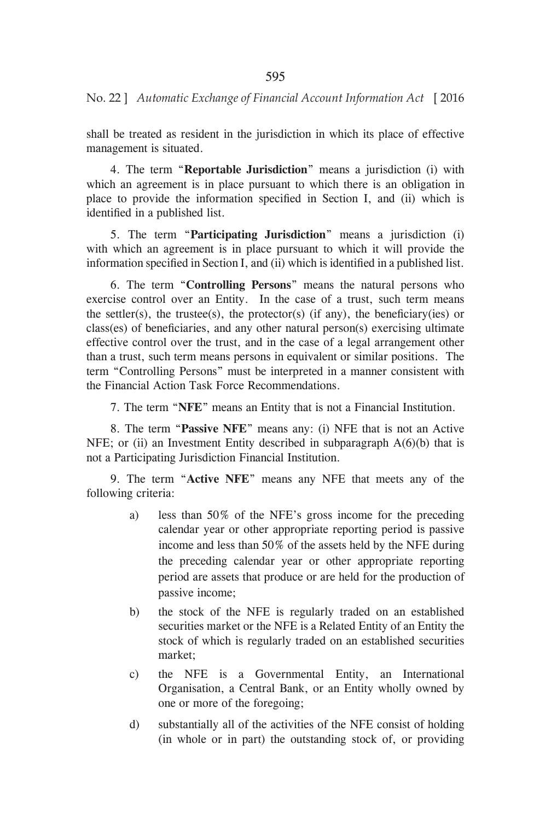shall be treated as resident in the jurisdiction in which its place of effective management is situated.

 4. The term "**Reportable Jurisdiction**" means a jurisdiction (i) with which an agreement is in place pursuant to which there is an obligation in place to provide the information specified in Section I, and (ii) which is identified in a published list.

 5. The term "**Participating Jurisdiction**" means a jurisdiction (i) with which an agreement is in place pursuant to which it will provide the information specified in Section I, and (ii) which is identified in a published list.

 6. The term "**Controlling Persons**" means the natural persons who exercise control over an Entity. In the case of a trust, such term means the settler(s), the trustee(s), the protector(s) (if any), the beneficiary(ies) or class(es) of beneficiaries, and any other natural person(s) exercising ultimate effective control over the trust, and in the case of a legal arrangement other than a trust, such term means persons in equivalent or similar positions. The term "Controlling Persons" must be interpreted in a manner consistent with the Financial Action Task Force Recommendations.

7. The term "**NFE**" means an Entity that is not a Financial Institution.

 8. The term "**Passive NFE**" means any: (i) NFE that is not an Active NFE; or (ii) an Investment Entity described in subparagraph  $A(6)(b)$  that is not a Participating Jurisdiction Financial Institution.

 9. The term "**Active NFE**" means any NFE that meets any of the following criteria:

- a) less than 50% of the NFE's gross income for the preceding calendar year or other appropriate reporting period is passive income and less than 50% of the assets held by the NFE during the preceding calendar year or other appropriate reporting period are assets that produce or are held for the production of passive income;
- b) the stock of the NFE is regularly traded on an established securities market or the NFE is a Related Entity of an Entity the stock of which is regularly traded on an established securities market;
- c) the NFE is a Governmental Entity, an International Organisation, a Central Bank, or an Entity wholly owned by one or more of the foregoing;
- d) substantially all of the activities of the NFE consist of holding (in whole or in part) the outstanding stock of, or providing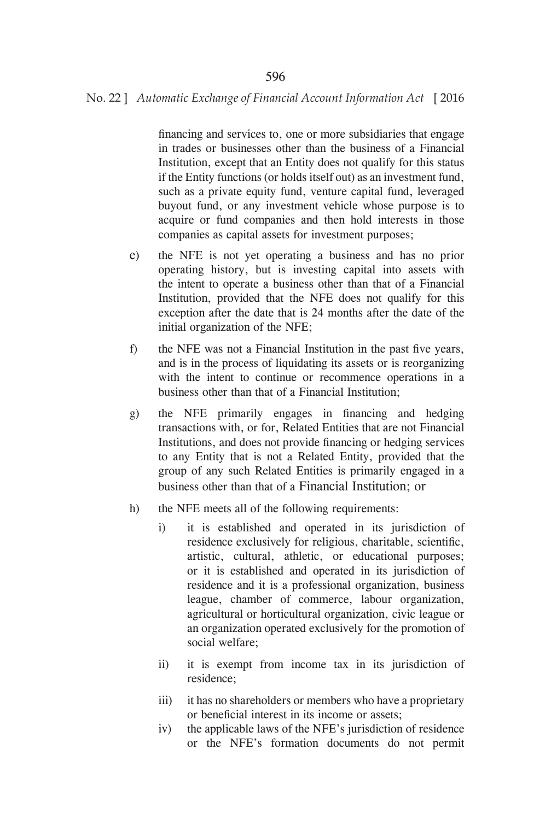financing and services to, one or more subsidiaries that engage in trades or businesses other than the business of a Financial Institution, except that an Entity does not qualify for this status if the Entity functions (or holds itself out) as an investment fund, such as a private equity fund, venture capital fund, leveraged buyout fund, or any investment vehicle whose purpose is to acquire or fund companies and then hold interests in those companies as capital assets for investment purposes;

- e) the NFE is not yet operating a business and has no prior operating history, but is investing capital into assets with the intent to operate a business other than that of a Financial Institution, provided that the NFE does not qualify for this exception after the date that is 24 months after the date of the initial organization of the NFE;
- f) the NFE was not a Financial Institution in the past five years, and is in the process of liquidating its assets or is reorganizing with the intent to continue or recommence operations in a business other than that of a Financial Institution;
- g) the NFE primarily engages in financing and hedging transactions with, or for, Related Entities that are not Financial Institutions, and does not provide financing or hedging services to any Entity that is not a Related Entity, provided that the group of any such Related Entities is primarily engaged in a business other than that of a Financial Institution; or
- h) the NFE meets all of the following requirements:
	- i) it is established and operated in its jurisdiction of residence exclusively for religious, charitable, scientific, artistic, cultural, athletic, or educational purposes; or it is established and operated in its jurisdiction of residence and it is a professional organization, business league, chamber of commerce, labour organization, agricultural or horticultural organization, civic league or an organization operated exclusively for the promotion of social welfare;
	- ii) it is exempt from income tax in its jurisdiction of residence;
	- iii) it has no shareholders or members who have a proprietary or beneficial interest in its income or assets;
	- iv) the applicable laws of the NFE's jurisdiction of residence or the NFE's formation documents do not permit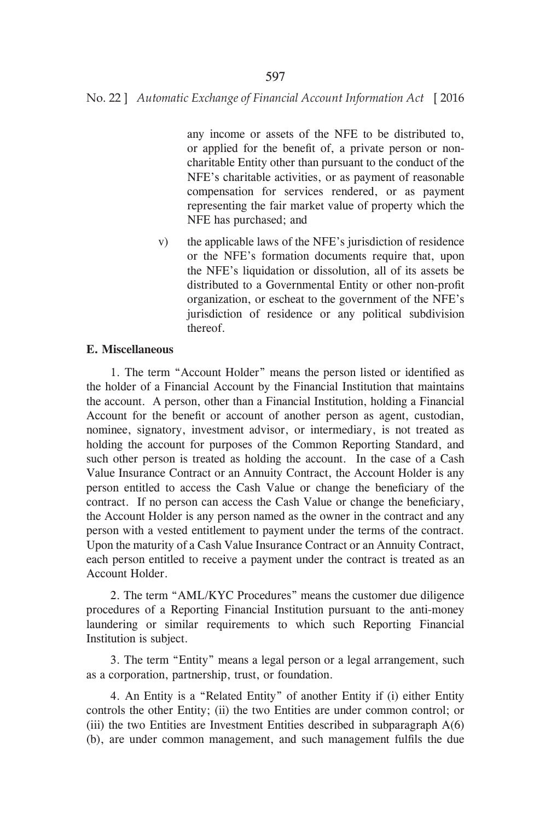any income or assets of the NFE to be distributed to, or applied for the benefit of, a private person or noncharitable Entity other than pursuant to the conduct of the NFE's charitable activities, or as payment of reasonable compensation for services rendered, or as payment representing the fair market value of property which the NFE has purchased; and

v) the applicable laws of the NFE's jurisdiction of residence or the NFE's formation documents require that, upon the NFE's liquidation or dissolution, all of its assets be distributed to a Governmental Entity or other non-profit organization, or escheat to the government of the NFE's jurisdiction of residence or any political subdivision thereof.

#### **E. Miscellaneous**

 1. The term "Account Holder" means the person listed or identified as the holder of a Financial Account by the Financial Institution that maintains the account. A person, other than a Financial Institution, holding a Financial Account for the benefit or account of another person as agent, custodian, nominee, signatory, investment advisor, or intermediary, is not treated as holding the account for purposes of the Common Reporting Standard, and such other person is treated as holding the account. In the case of a Cash Value Insurance Contract or an Annuity Contract, the Account Holder is any person entitled to access the Cash Value or change the beneficiary of the contract. If no person can access the Cash Value or change the beneficiary, the Account Holder is any person named as the owner in the contract and any person with a vested entitlement to payment under the terms of the contract. Upon the maturity of a Cash Value Insurance Contract or an Annuity Contract, each person entitled to receive a payment under the contract is treated as an Account Holder.

 2. The term "AML/KYC Procedures" means the customer due diligence procedures of a Reporting Financial Institution pursuant to the anti-money laundering or similar requirements to which such Reporting Financial Institution is subject.

 3. The term "Entity" means a legal person or a legal arrangement, such as a corporation, partnership, trust, or foundation.

 4. An Entity is a "Related Entity" of another Entity if (i) either Entity controls the other Entity; (ii) the two Entities are under common control; or (iii) the two Entities are Investment Entities described in subparagraph A(6) (b), are under common management, and such management fulfils the due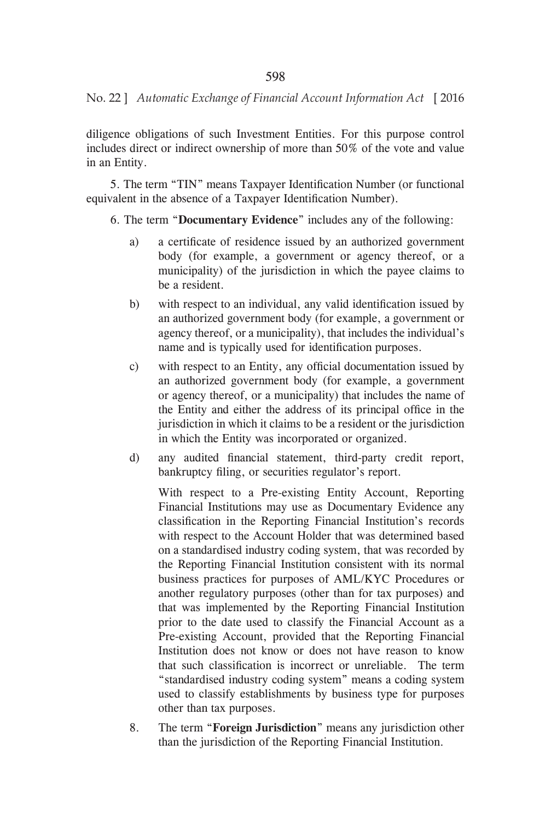diligence obligations of such Investment Entities. For this purpose control includes direct or indirect ownership of more than 50% of the vote and value in an Entity.

 5. The term "TIN" means Taxpayer Identification Number (or functional equivalent in the absence of a Taxpayer Identification Number).

## 6. The term "**Documentary Evidence**" includes any of the following:

- a) a certificate of residence issued by an authorized government body (for example, a government or agency thereof, or a municipality) of the jurisdiction in which the payee claims to be a resident.
- b) with respect to an individual, any valid identification issued by an authorized government body (for example, a government or agency thereof, or a municipality), that includes the individual's name and is typically used for identification purposes.
- c) with respect to an Entity, any official documentation issued by an authorized government body (for example, a government or agency thereof, or a municipality) that includes the name of the Entity and either the address of its principal office in the jurisdiction in which it claims to be a resident or the jurisdiction in which the Entity was incorporated or organized.
- d) any audited financial statement, third-party credit report, bankruptcy filing, or securities regulator's report.

 With respect to a Pre-existing Entity Account, Reporting Financial Institutions may use as Documentary Evidence any classification in the Reporting Financial Institution's records with respect to the Account Holder that was determined based on a standardised industry coding system, that was recorded by the Reporting Financial Institution consistent with its normal business practices for purposes of AML/KYC Procedures or another regulatory purposes (other than for tax purposes) and that was implemented by the Reporting Financial Institution prior to the date used to classify the Financial Account as a Pre-existing Account, provided that the Reporting Financial Institution does not know or does not have reason to know that such classification is incorrect or unreliable. The term "standardised industry coding system" means a coding system used to classify establishments by business type for purposes other than tax purposes.

8. The term "**Foreign Jurisdiction**" means any jurisdiction other than the jurisdiction of the Reporting Financial Institution.